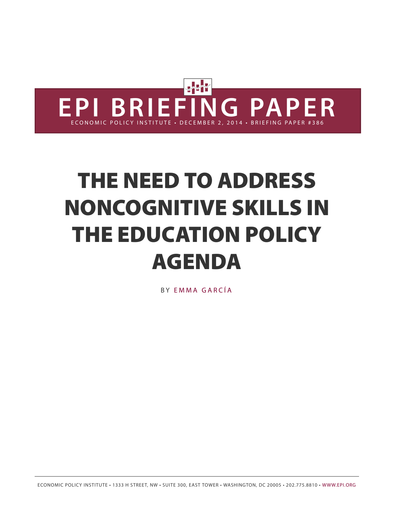

# **THE NEED TO ADDRESS NONCOGNITIVE SKILLS IN THE EDUCATION POLICY AGENDA**

BY EMM[A GAR](http://www.epi.org/people/emma-garcia/)CÍA

ECONOMIC POLICY INSTITUTE • 1333 H STREET, NW • SUITE 300, EAST TOWER • WASHINGTON, DC 20005 • 202.775.8810 • [WWW.EPI.ORG](http://www.epi.org/)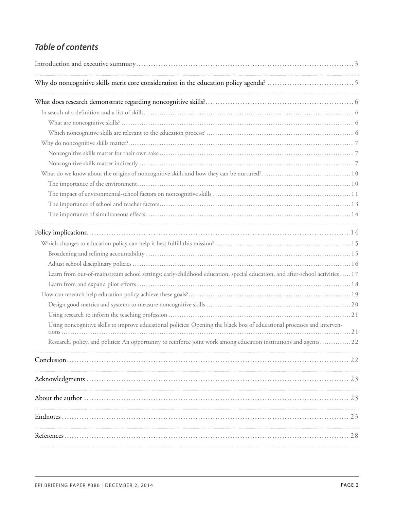## *Table of contents*

| Learn from out-of-mainstream school settings: early-childhood education, special education, and after-school activities  17 |
|-----------------------------------------------------------------------------------------------------------------------------|
|                                                                                                                             |
|                                                                                                                             |
|                                                                                                                             |
|                                                                                                                             |
| Using noncognitive skills to improve educational policies: Opening the black box of educational processes and interven-     |
| Research, policy, and politics: An opportunity to reinforce joint work among education institutions and agents22            |
|                                                                                                                             |
|                                                                                                                             |
|                                                                                                                             |
|                                                                                                                             |
|                                                                                                                             |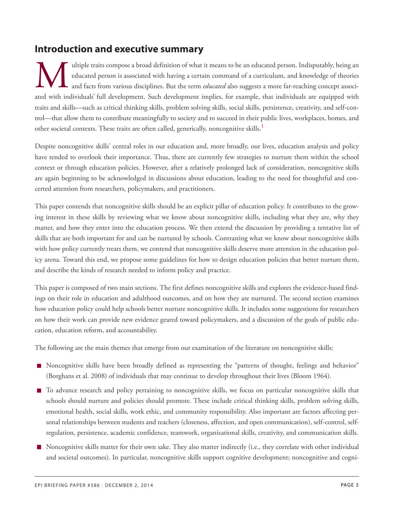## <span id="page-2-0"></span>**Introduction and executive summary**

Water with individuals' full development. Such development implies, for example, that individuals are equipped with individuals' full development. Such development implies, for example, that individuals are equipped with ultiple traits compose a broad definition of what it means to be an educated person. Indisputably, being an educated person is associated with having a certain command of a curriculum, and knowledge of theories and facts from various disciplines. But the term *educated* also suggests a more far-reaching concept associtraits and skills—such as critical thinking skills, problem solving skills, social skills, persistence, creativity, and self-control—that allow them to contribute meaningfully to society and to succeed in their public lives, workplaces, homes, and other societal contexts. These traits are often called, generically, noncognitive skills.**[1](#page-22-3)**

<span id="page-2-1"></span>Despite noncognitive skills' central roles in our education and, more broadly, our lives, education analysis and policy have tended to overlook their importance. Thus, there are currently few strategies to nurture them within the school context or through education policies. However, after a relatively prolonged lack of consideration, noncognitive skills are again beginning to be acknowledged in discussions about education, leading to the need for thoughtful and concerted attention from researchers, policymakers, and practitioners.

This paper contends that noncognitive skills should be an explicit pillar of education policy. It contributes to the growing interest in these skills by reviewing what we know about noncognitive skills, including what they are, why they matter, and how they enter into the education process. We then extend the discussion by providing a tentative list of skills that are both important for and can be nurtured by schools. Contrasting what we know about noncognitive skills with how policy currently treats them, we contend that noncognitive skills deserve more attention in the education policy arena. Toward this end, we propose some guidelines for how to design education policies that better nurture them, and describe the kinds of research needed to inform policy and practice.

This paper is composed of two main sections. The first defines noncognitive skills and explores the evidence-based findings on their role in education and adulthood outcomes, and on how they are nurtured. The second section examines how education policy could help schools better nurture noncognitive skills. It includes some suggestions for researchers on how their work can provide new evidence geared toward policymakers, and a discussion of the goals of public education, education reform, and accountability.

The following are the main themes that emerge from our examination of the literature on noncognitive skills:

- Noncognitive skills have been broadly defined as representing the "patterns of thought, feelings and behavior" (Borghans et al. 2008) of individuals that may continue to develop throughout their lives (Bloom 1964).
- To advance research and policy pertaining to noncognitive skills, we focus on particular noncognitive skills that schools should nurture and policies should promote. These include critical thinking skills, problem solving skills, emotional health, social skills, work ethic, and community responsibility. Also important are factors affecting personal relationships between students and teachers (closeness, affection, and open communication), self-control, selfregulation, persistence, academic confidence, teamwork, organizational skills, creativity, and communication skills.
- Noncognitive skills matter for their own sake. They also matter indirectly (i.e., they correlate with other individual and societal outcomes). In particular, noncognitive skills support cognitive development; noncognitive and cogni-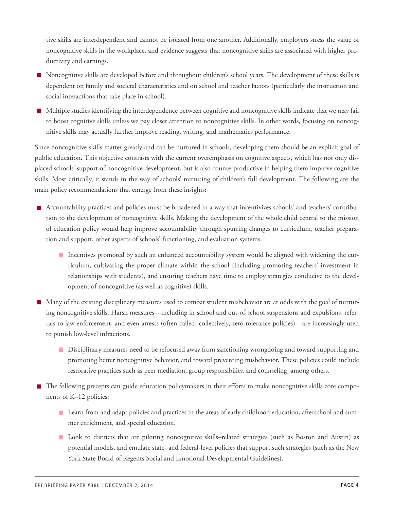tive skills are interdependent and cannot be isolated from one another. Additionally, employers stress the value of noncognitive skills in the workplace, and evidence suggests that noncognitive skills are associated with higher productivity and earnings.

- Noncognitive skills are developed before and throughout children's school years. The development of these skills is dependent on family and societal characteristics and on school and teacher factors (particularly the instruction and social interactions that take place in school).
- Multiple studies identifying the interdependence between cognitive and noncognitive skills indicate that we may fail to boost cognitive skills unless we pay closer attention to noncognitive skills. In other words, focusing on noncognitive skills may actually further improve reading, writing, and mathematics performance.

Since noncognitive skills matter greatly and can be nurtured in schools, developing them should be an explicit goal of public education. This objective contrasts with the current overemphasis on cognitive aspects, which has not only displaced schools' support of noncognitive development, but is also counterproductive in helping them improve cognitive skills. Most critically, it stands in the way of schools' nurturing of children's full development. The following are the main policy recommendations that emerge from these insights:

- Accountability practices and policies must be broadened in a way that incentivizes schools' and teachers' contribution to the development of noncognitive skills. Making the development of the whole child central to the mission of education policy would help improve accountability through spurring changes to curriculum, teacher preparation and support, other aspects of schools' functioning, and evaluation systems.
	- Incentives promoted by such an enhanced accountability system would be aligned with widening the curriculum, cultivating the proper climate within the school (including promoting teachers' investment in relationships with students), and ensuring teachers have time to employ strategies conducive to the development of noncognitive (as well as cognitive) skills.
- **Many of the existing disciplinary measures used to combat student misbehavior are at odds with the goal of nurtur**ing noncognitive skills. Harsh measures—including in-school and out-of-school suspensions and expulsions, referrals to law enforcement, and even arrests (often called, collectively, zero-tolerance policies)—are increasingly used to punish low-level infractions.
	- Disciplinary measures need to be refocused away from sanctioning wrongdoing and toward supporting and promoting better noncognitive behavior, and toward preventing misbehavior. These policies could include restorative practices such as peer mediation, group responsibility, and counseling, among others.
- The following precepts can guide education policymakers in their efforts to make noncognitive skills core components of K–12 policies:
	- **Learn from and adapt policies and practices in the areas of early childhood education, afterschool and sum**mer enrichment, and special education.
	- Look to districts that are piloting noncognitive skills–related strategies (such as Boston and Austin) as potential models, and emulate state- and federal-level policies that support such strategies (such as the New York State Board of Regents Social and Emotional Developmental Guidelines).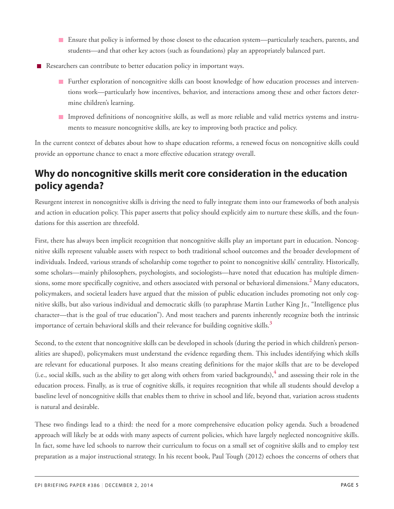- Ensure that policy is informed by those closest to the education system—particularly teachers, parents, and students—and that other key actors (such as foundations) play an appropriately balanced part.
- Researchers can contribute to better education policy in important ways.
	- **Further exploration of noncognitive skills can boost knowledge of how education processes and interven**tions work—particularly how incentives, behavior, and interactions among these and other factors determine children's learning.
	- Improved definitions of noncognitive skills, as well as more reliable and valid metrics systems and instruments to measure noncognitive skills, are key to improving both practice and policy.

In the current context of debates about how to shape education reforms, a renewed focus on noncognitive skills could provide an opportune chance to enact a more effective education strategy overall.

# <span id="page-4-0"></span>**Why do noncognitive skills merit core consideration in the education policy agenda?**

Resurgent interest in noncognitive skills is driving the need to fully integrate them into our frameworks of both analysis and action in education policy. This paper asserts that policy should explicitly aim to nurture these skills, and the foundations for this assertion are threefold.

<span id="page-4-1"></span>First, there has always been implicit recognition that noncognitive skills play an important part in education. Noncognitive skills represent valuable assets with respect to both traditional school outcomes and the broader development of individuals. Indeed, various strands of scholarship come together to point to noncognitive skills' centrality. Historically, some scholars—mainly philosophers, psychologists, and sociologists—have noted that education has multiple dimensions, some more specifically cognitive, and others associated with personal or behavioral dimensions.**[2](#page-22-4)** Many educators, policymakers, and societal leaders have argued that the mission of public education includes promoting not only cognitive skills, but also various individual and democratic skills (to paraphrase Martin Luther King Jr., "Intelligence plus character—that is the goal of true education"). And most teachers and parents inherently recognize both the intrinsic importance of certain behavioral skills and their relevance for building cognitive skills.**[3](#page-23-0)**

<span id="page-4-3"></span><span id="page-4-2"></span>Second, to the extent that noncognitive skills can be developed in schools (during the period in which children's personalities are shaped), policymakers must understand the evidence regarding them. This includes identifying which skills are relevant for educational purposes. It also means creating definitions for the major skills that are to be developed (i.e., social skills, such as the ability to get along with others from varied backgrounds),**[4](#page-23-1)** and assessing their role in the education process. Finally, as is true of cognitive skills, it requires recognition that while all students should develop a baseline level of noncognitive skills that enables them to thrive in school and life, beyond that, variation across students is natural and desirable.

These two findings lead to a third: the need for a more comprehensive education policy agenda. Such a broadened approach will likely be at odds with many aspects of current policies, which have largely neglected noncognitive skills. In fact, some have led schools to narrow their curriculum to focus on a small set of cognitive skills and to employ test preparation as a major instructional strategy. In his recent book, Paul Tough (2012) echoes the concerns of others that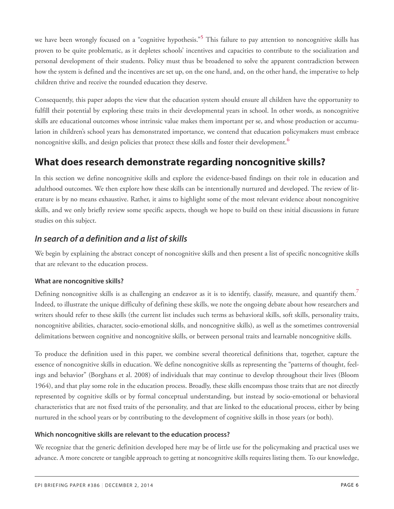<span id="page-5-4"></span>we have been wrongly focused on a "cognitive hypothesis." **[5](#page-23-2)** This failure to pay attention to noncognitive skills has proven to be quite problematic, as it depletes schools' incentives and capacities to contribute to the socialization and personal development of their students. Policy must thus be broadened to solve the apparent contradiction between how the system is defined and the incentives are set up, on the one hand, and, on the other hand, the imperative to help children thrive and receive the rounded education they deserve.

Consequently, this paper adopts the view that the education system should ensure all children have the opportunity to fulfill their potential by exploring these traits in their developmental years in school. In other words, as noncognitive skills are educational outcomes whose intrinsic value makes them important per se, and whose production or accumulation in children's school years has demonstrated importance, we contend that education policymakers must embrace noncognitive skills, and design policies that protect these skills and foster their development.**[6](#page-23-3)**

## <span id="page-5-5"></span><span id="page-5-0"></span>**What does research demonstrate regarding noncognitive skills?**

In this section we define noncognitive skills and explore the evidence-based findings on their role in education and adulthood outcomes. We then explore how these skills can be intentionally nurtured and developed. The review of literature is by no means exhaustive. Rather, it aims to highlight some of the most relevant evidence about noncognitive skills, and we only briefly review some specific aspects, though we hope to build on these initial discussions in future studies on this subject.

## <span id="page-5-1"></span>*In search of a definition and a list ofskills*

We begin by explaining the abstract concept of noncognitive skills and then present a list of specific noncognitive skills that are relevant to the education process.

## <span id="page-5-2"></span>**What are noncognitive skills?**

<span id="page-5-6"></span>Defining noncognitive skills is as challenging an endeavor as it is to identify, classify, measure, and quantify them.**[7](#page-23-4)** Indeed, to illustrate the unique difficulty of defining these skills, we note the ongoing debate about how researchers and writers should refer to these skills (the current list includes such terms as behavioral skills, soft skills, personality traits, noncognitive abilities, character, socio-emotional skills, and noncognitive skills), as well as the sometimes controversial delimitations between cognitive and noncognitive skills, or between personal traits and learnable noncognitive skills.

To produce the definition used in this paper, we combine several theoretical definitions that, together, capture the essence of noncognitive skills in education. We define noncognitive skills as representing the "patterns of thought, feelings and behavior" (Borghans et al. 2008) of individuals that may continue to develop throughout their lives (Bloom 1964), and that play some role in the education process. Broadly, these skills encompass those traits that are not directly represented by cognitive skills or by formal conceptual understanding, but instead by socio-emotional or behavioral characteristics that are not fixed traits of the personality, and that are linked to the educational process, either by being nurtured in the school years or by contributing to the development of cognitive skills in those years (or both).

## <span id="page-5-3"></span>**Which noncognitive skills are relevant to the education process?**

We recognize that the generic definition developed here may be of little use for the policymaking and practical uses we advance. A more concrete or tangible approach to getting at noncognitive skills requires listing them. To our knowledge,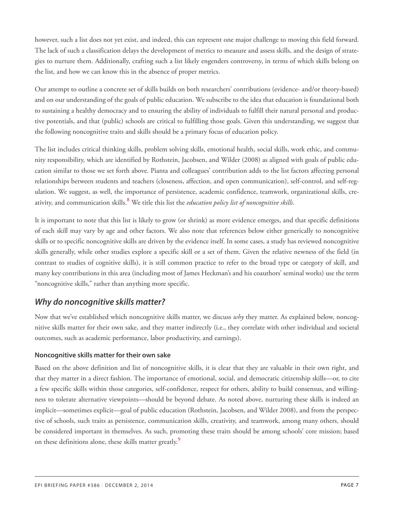however, such a list does not yet exist, and indeed, this can represent one major challenge to moving this field forward. The lack of such a classification delays the development of metrics to measure and assess skills, and the design of strategies to nurture them. Additionally, crafting such a list likely engenders controversy, in terms of which skills belong on the list, and how we can know this in the absence of proper metrics.

Our attempt to outline a concrete set of skills builds on both researchers' contributions (evidence- and/or theory-based) and on our understanding of the goals of public education. We subscribe to the idea that education is foundational both to sustaining a healthy democracy and to ensuring the ability of individuals to fulfill their natural personal and productive potentials, and that (public) schools are critical to fulfilling those goals. Given this understanding, we suggest that the following noncognitive traits and skills should be a primary focus of education policy.

The list includes critical thinking skills, problem solving skills, emotional health, social skills, work ethic, and community responsibility, which are identified by Rothstein, Jacobsen, and Wilder (2008) as aligned with goals of public education similar to those we set forth above. Pianta and colleagues' contribution adds to the list factors affecting personal relationships between students and teachers (closeness, affection, and open communication), self-control, and self-regulation. We suggest, as well, the importance of persistence, academic confidence, teamwork, organizational skills, creativity, and communication skills.**[8](#page-23-5)** We title this list the *education policy list of noncognitive skills*.

<span id="page-6-3"></span>It is important to note that this list is likely to grow (or shrink) as more evidence emerges, and that specific definitions of each skill may vary by age and other factors. We also note that references below either generically to noncognitive skills or to specific noncognitive skills are driven by the evidence itself. In some cases, a study has reviewed noncognitive skills generally, while other studies explore a specific skill or a set of them. Given the relative newness of the field (in contrast to studies of cognitive skills), it is still common practice to refer to the broad type or category of skill, and many key contributions in this area (including most of James Heckman's and his coauthors' seminal works) use the term "noncognitive skills," rather than anything more specific.

## <span id="page-6-0"></span>*Why do noncognitive skills matter?*

Now that we've established which noncognitive skills matter, we discuss *why* they matter. As explained below, noncognitive skills matter for their own sake, and they matter indirectly (i.e., they correlate with other individual and societal outcomes, such as academic performance, labor productivity, and earnings).

## <span id="page-6-1"></span>**Noncognitive skills matter for their own sake**

<span id="page-6-4"></span><span id="page-6-2"></span>Based on the above definition and list of noncognitive skills, it is clear that they are valuable in their own right, and that they matter in a direct fashion. The importance of emotional, social, and democratic citizenship skills—or, to cite a few specific skills within those categories, self-confidence, respect for others, ability to build consensus, and willingness to tolerate alternative viewpoints—should be beyond debate. As noted above, nurturing these skills is indeed an implicit—sometimes explicit—goal of public education (Rothstein, Jacobsen, and Wilder 2008), and from the perspective of schools, such traits as persistence, communication skills, creativity, and teamwork, among many others, should be considered important in themselves. As such, promoting these traits should be among schools' core mission; based on these definitions alone, these skills matter greatly. **[9](#page-23-6)**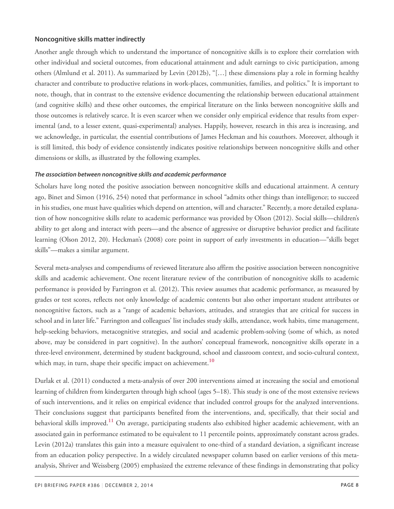#### **Noncognitive skills matter indirectly**

Another angle through which to understand the importance of noncognitive skills is to explore their correlation with other individual and societal outcomes, from educational attainment and adult earnings to civic participation, among others (Almlund et al. 2011). As summarized by Levin (2012b), "[…] these dimensions play a role in forming healthy character and contribute to productive relations in work-places, communities, families, and politics." It is important to note, though, that in contrast to the extensive evidence documenting the relationship between educational attainment (and cognitive skills) and these other outcomes, the empirical literature on the links between noncognitive skills and those outcomes is relatively scarce. It is even scarcer when we consider only empirical evidence that results from experimental (and, to a lesser extent, quasi-experimental) analyses. Happily, however, research in this area is increasing, and we acknowledge, in particular, the essential contributions of James Heckman and his coauthors. Moreover, although it is still limited, this body of evidence consistently indicates positive relationships between noncognitive skills and other dimensions or skills, as illustrated by the following examples.

#### *The association between noncognitive skills and academic performance*

Scholars have long noted the positive association between noncognitive skills and educational attainment. A century ago, Binet and Simon (1916, 254) noted that performance in school "admits other things than intelligence; to succeed in his studies, one must have qualities which depend on attention, will and character." Recently, a more detailed explanation of how noncognitive skills relate to academic performance was provided by Olson (2012). Social skills—children's ability to get along and interact with peers—and the absence of aggressive or disruptive behavior predict and facilitate learning (Olson 2012, 20). Heckman's (2008) core point in support of early investments in education—"skills beget skills"—makes a similar argument.

Several meta-analyses and compendiums of reviewed literature also affirm the positive association between noncognitive skills and academic achievement. One recent literature review of the contribution of noncognitive skills to academic performance is provided by Farrington et al. (2012). This review assumes that academic performance, as measured by grades or test scores, reflects not only knowledge of academic contents but also other important student attributes or noncognitive factors, such as a "range of academic behaviors, attitudes, and strategies that are critical for success in school and in later life." Farrington and colleagues' list includes study skills, attendance, work habits, time management, help-seeking behaviors, metacognitive strategies, and social and academic problem-solving (some of which, as noted above, may be considered in part cognitive). In the authors' conceptual framework, noncognitive skills operate in a three-level environment, determined by student background, school and classroom context, and socio-cultural context, which may, in turn, shape their specific impact on achievement.<sup>[10](#page-23-7)</sup>

<span id="page-7-1"></span><span id="page-7-0"></span>Durlak et al. (2011) conducted a meta-analysis of over 200 interventions aimed at increasing the social and emotional learning of children from kindergarten through high school (ages 5–18). This study is one of the most extensive reviews of such interventions, and it relies on empirical evidence that included control groups for the analyzed interventions. Their conclusions suggest that participants benefited from the interventions, and, specifically, that their social and behavioral skills improved.**[11](#page-23-8)** On average, participating students also exhibited higher academic achievement, with an associated gain in performance estimated to be equivalent to 11 percentile points, approximately constant across grades. Levin (2012a) translates this gain into a measure equivalent to one-third of a standard deviation, a significant increase from an education policy perspective. In a widely circulated newspaper column based on earlier versions of this metaanalysis, Shriver and Weissberg (2005) emphasized the extreme relevance of these findings in demonstrating that policy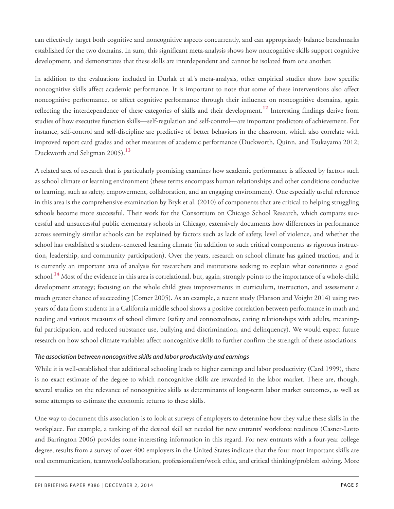can effectively target both cognitive and noncognitive aspects concurrently, and can appropriately balance benchmarks established for the two domains. In sum, this significant meta-analysis shows how noncognitive skills support cognitive development, and demonstrates that these skills are interdependent and cannot be isolated from one another.

<span id="page-8-0"></span>In addition to the evaluations included in Durlak et al.'s meta-analysis, other empirical studies show how specific noncognitive skills affect academic performance. It is important to note that some of these interventions also affect noncognitive performance, or affect cognitive performance through their influence on noncognitive domains, again reflecting the interdependence of these categories of skills and their development.**[12](#page-23-9)** Interesting findings derive from studies of how executive function skills—self-regulation and self-control—are important predictors of achievement. For instance, self-control and self-discipline are predictive of better behaviors in the classroom, which also correlate with improved report card grades and other measures of academic performance (Duckworth, Quinn, and Tsukayama 2012; Duckworth and Seligman 2005).**[13](#page-23-10)**

<span id="page-8-1"></span>A related area of research that is particularly promising examines how academic performance is affected by factors such as school climate or learning environment (these terms encompass human relationships and other conditions conducive to learning, such as safety, empowerment, collaboration, and an engaging environment). One especially useful reference in this area is the comprehensive examination by Bryk et al. (2010) of components that are critical to helping struggling schools become more successful. Their work for the Consortium on Chicago School Research, which compares successful and unsuccessful public elementary schools in Chicago, extensively documents how differences in performance across seemingly similar schools can be explained by factors such as lack of safety, level of violence, and whether the school has established a student-centered learning climate (in addition to such critical components as rigorous instruction, leadership, and community participation). Over the years, research on school climate has gained traction, and it is currently an important area of analysis for researchers and institutions seeking to explain what constitutes a good school.**[14](#page-24-0)** Most of the evidence in this area is correlational, but, again, strongly points to the importance of a whole-child development strategy; focusing on the whole child gives improvements in curriculum, instruction, and assessment a much greater chance of succeeding (Comer 2005). As an example, a recent study (Hanson and Voight 2014) using two years of data from students in a California middle school shows a positive correlation between performance in math and reading and various measures of school climate (safety and connectedness, caring relationships with adults, meaningful participation, and reduced substance use, bullying and discrimination, and delinquency). We would expect future research on how school climate variables affect noncognitive skills to further confirm the strength of these associations.

#### <span id="page-8-2"></span>*The association between noncognitive skills and labor productivity and earnings*

While it is well-established that additional schooling leads to higher earnings and labor productivity (Card 1999), there is no exact estimate of the degree to which noncognitive skills are rewarded in the labor market. There are, though, several studies on the relevance of noncognitive skills as determinants of long-term labor market outcomes, as well as some attempts to estimate the economic returns to these skills.

One way to document this association is to look at surveys of employers to determine how they value these skills in the workplace. For example, a ranking of the desired skill set needed for new entrants' workforce readiness (Casner-Lotto and Barrington 2006) provides some interesting information in this regard. For new entrants with a four-year college degree, results from a survey of over 400 employers in the United States indicate that the four most important skills are oral communication, teamwork/collaboration, professionalism/work ethic, and critical thinking/problem solving. More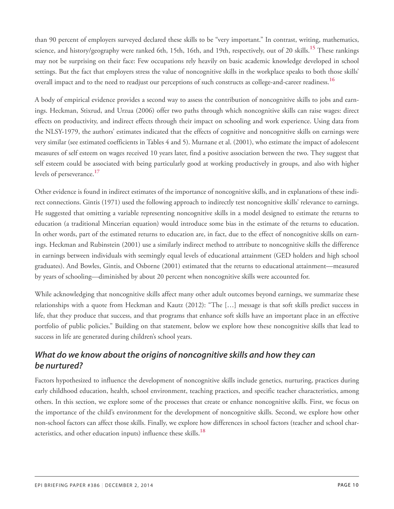<span id="page-9-2"></span>than 90 percent of employers surveyed declared these skills to be "very important." In contrast, writing, mathematics, science, and history/geography were ranked 6th, 15th, 16th, and 19th, respectively, out of 20 skills.**[15](#page-24-1)** These rankings may not be surprising on their face: Few occupations rely heavily on basic academic knowledge developed in school settings. But the fact that employers stress the value of noncognitive skills in the workplace speaks to both those skills' overall impact and to the need to readjust our perceptions of such constructs as college-and-career readiness.**[16](#page-24-2)**

<span id="page-9-3"></span>A body of empirical evidence provides a second way to assess the contribution of noncognitive skills to jobs and earnings. Heckman, Stixrud, and Urzua (2006) offer two paths through which noncognitive skills can raise wages: direct effects on productivity, and indirect effects through their impact on schooling and work experience. Using data from the NLSY-1979, the authors' estimates indicated that the effects of cognitive and noncognitive skills on earnings were very similar (see estimated coefficients in Tables 4 and 5). Murnane et al. (2001), who estimate the impact of adolescent measures of self esteem on wages received 10 years later, find a positive association between the two. They suggest that self esteem could be associated with being particularly good at working productively in groups, and also with higher levels of perseverance. **[17](#page-24-3)**

<span id="page-9-4"></span>Other evidence is found in indirect estimates of the importance of noncognitive skills, and in explanations of these indirect connections. Gintis (1971) used the following approach to indirectly test noncognitive skills' relevance to earnings. He suggested that omitting a variable representing noncognitive skills in a model designed to estimate the returns to education (a traditional Mincerian equation) would introduce some bias in the estimate of the returns to education. In other words, part of the estimated returns to education are, in fact, due to the effect of noncognitive skills on earnings. Heckman and Rubinstein (2001) use a similarly indirect method to attribute to noncognitive skills the difference in earnings between individuals with seemingly equal levels of educational attainment (GED holders and high school graduates). And Bowles, Gintis, and Osborne (2001) estimated that the returns to educational attainment—measured by years of schooling—diminished by about 20 percent when noncognitive skills were accounted for.

While acknowledging that noncognitive skills affect many other adult outcomes beyond earnings, we summarize these relationships with a quote from Heckman and Kautz (2012): "The […] message is that soft skills predict success in life, that they produce that success, and that programs that enhance soft skills have an important place in an effective portfolio of public policies." Building on that statement, below we explore how these noncognitive skills that lead to success in life are generated during children's school years.

## <span id="page-9-0"></span>*What do we know about the origins of noncognitive skills and how they can be nurtured?*

<span id="page-9-5"></span><span id="page-9-1"></span>Factors hypothesized to influence the development of noncognitive skills include genetics, nurturing, practices during early childhood education, health, school environment, teaching practices, and specific teacher characteristics, among others. In this section, we explore some of the processes that create or enhance noncognitive skills. First, we focus on the importance of the child's environment for the development of noncognitive skills. Second, we explore how other non-school factors can affect those skills. Finally, we explore how differences in school factors (teacher and school characteristics, and other education inputs) influence these skills.**[18](#page-24-4)**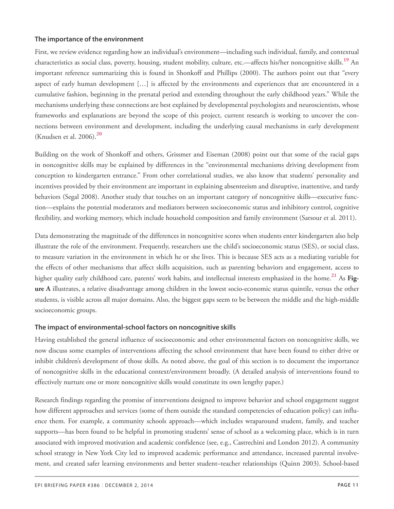## **The importance of the environment**

<span id="page-10-1"></span>First, we review evidence regarding how an individual's environment*—*including such individual, family, and contextual characteristics as social class, poverty, housing, student mobility, culture, etc.—affects his/her noncognitive skills.**[19](#page-24-5)** An important reference summarizing this is found in Shonkoff and Phillips (2000). The authors point out that "every aspect of early human development […] is affected by the environments and experiences that are encountered in a cumulative fashion, beginning in the prenatal period and extending throughout the early childhood years." While the mechanisms underlying these connections are best explained by developmental psychologists and neuroscientists, whose frameworks and explanations are beyond the scope of this project, current research is working to uncover the connections between environment and development, including the underlying causal mechanisms in early development (Knudsen et al. 2006).**[20](#page-24-6)**

<span id="page-10-2"></span>Building on the work of Shonkoff and others, Grissmer and Eiseman (2008) point out that some of the racial gaps in noncognitive skills may be explained by differences in the "environmental mechanisms driving development from conception to kindergarten entrance." From other correlational studies, we also know that students' personality and incentives provided by their environment are important in explaining absenteeism and disruptive, inattentive, and tardy behaviors (Segal 2008). Another study that touches on an important category of noncognitive skills—executive function—explains the potential moderators and mediators between socioeconomic status and inhibitory control, cognitive flexibility, and working memory, which include household composition and family environment (Sarsour et al. 2011).

<span id="page-10-3"></span>Data demonstrating the magnitude of the differences in noncognitive scores when students enter kindergarten also help illustrate the role of the environment. Frequently, researchers use the child's socioeconomic status (SES), or social class, to measure variation in the environment in which he or she lives. This is because SES acts as a mediating variable for the effects of other mechanisms that affect skills acquisition, such as parenting behaviors and engagement, access to higher quality early childhood care, parents' work habits, and intellectual interests emphasized in the home.**[21](#page-24-7)** As **Figure A** illustrates, a relative disadvantage among children in the lowest socio-economic status quintile, versus the other students, is visible across all major domains. Also, the biggest gaps seem to be between the middle and the high-middle socioeconomic groups.

## <span id="page-10-0"></span>**The impact of environmental-school factors on noncognitive skills**

Having established the general influence of socioeconomic and other environmental factors on noncognitive skills, we now discuss some examples of interventions affecting the school environment that have been found to either drive or inhibit children's development of those skills. As noted above, the goal of this section is to document the importance of noncognitive skills in the educational context/environment broadly. (A detailed analysis of interventions found to effectively nurture one or more noncognitive skills would constitute its own lengthy paper.)

Research findings regarding the promise of interventions designed to improve behavior and school engagement suggest how different approaches and services (some of them outside the standard competencies of education policy) can influence them. For example, a community schools approach—which includes wraparound student, family, and teacher supports—has been found to be helpful in promoting students' sense of school as a welcoming place, which is in turn associated with improved motivation and academic confidence (see, e.g., Castrechini and London 2012). A community school strategy in New York City led to improved academic performance and attendance, increased parental involvement, and created safer learning environments and better student–teacher relationships (Quinn 2003). School-based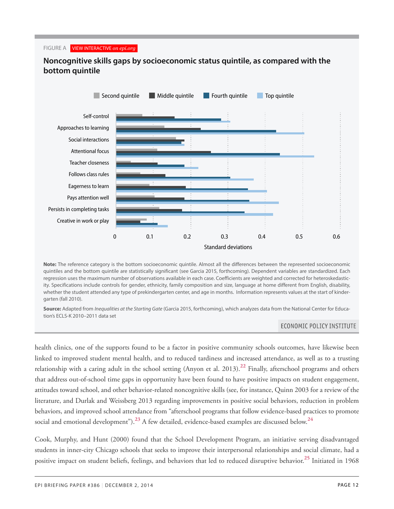#### FIGURE A VIEW INTERACTIVE *on epi.org*

## **Noncognitive skills gaps by socioeconomic status quintile, as compared with the bottom quintile**



Note: The reference category is the bottom socioeconomic quintile. Almost all the differences between the represented socioeconomic quintiles and the bottom quintile are statistically significant (see Garcia 2015, forthcoming). Dependent variables are standardized. Each *work or* 0.083 0.066 0.113 0.140 regression uses the maximum number of observations available in each case. Coefficients are weighted and corrected for heteroskedastic-*play* ity. Specifications include controls for gender, ethnicity, family composition and size, language at home different from English, disability, whether the student attended any type of prekindergarten center, and age in months. Information represents values at the start of kindergarten (fall 2010).

**Source:** Adapted from *Inequalities at the Starting Gate* (Garcia 2015, forthcoming), which analyzes data from the National Center for Education's ECLS-K 2010–2011 data set

#### **ECONOMIC POLICY INSTITUTE**

<span id="page-11-0"></span>health clinics, one of the supports found to be a factor in positive community schools outcomes, have likewise been linked to improved student mental health, and to reduced tardiness and increased attendance, as well as to a trusting relationship with a caring adult in the school setting (Anyon et al. 2013).**[22](#page-24-8)** Finally, afterschool programs and others that address out-of-school time gaps in opportunity have been found to have positive impacts on student engagement, attitudes toward school, and other behavior-related noncognitive skills (see, for instance, Quinn 2003 for a review of the literature, and Durlak and Weissberg 2013 regarding improvements in positive social behaviors, reduction in problem behaviors, and improved school attendance from "afterschool programs that follow evidence-based practices to promote social and emotional development").**[23](#page-24-9)** A few detailed, evidence-based examples are discussed below. **[24](#page-24-10)**

<span id="page-11-2"></span><span id="page-11-1"></span>Cook, Murphy, and Hunt (2000) found that the School Development Program, an initiative serving disadvantaged students in inner-city Chicago schools that seeks to improve their interpersonal relationships and social climate, had a positive impact on student beliefs, feelings, and behaviors that led to reduced disruptive behavior. **[25](#page-25-0)** Initiated in 1968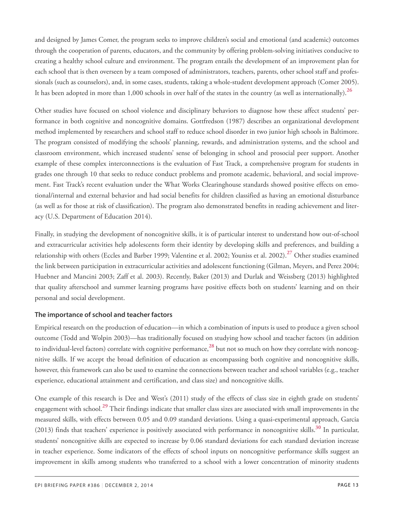and designed by James Comer, the program seeks to improve children's social and emotional (and academic) outcomes through the cooperation of parents, educators, and the community by offering problem-solving initiatives conducive to creating a healthy school culture and environment. The program entails the development of an improvement plan for each school that is then overseen by a team composed of administrators, teachers, parents, other school staff and professionals (such as counselors), and, in some cases, students, taking a whole-student development approach (Comer 2005). It has been adopted in more than 1,000 schools in over half of the states in the country (as well as internationally).**[26](#page-25-1)**

<span id="page-12-1"></span>Other studies have focused on school violence and disciplinary behaviors to diagnose how these affect students' performance in both cognitive and noncognitive domains. Gottfredson (1987) describes an organizational development method implemented by researchers and school staff to reduce school disorder in two junior high schools in Baltimore. The program consisted of modifying the schools' planning, rewards, and administration systems, and the school and classroom environment, which increased students' sense of belonging in school and prosocial peer support. Another example of these complex interconnections is the evaluation of Fast Track, a comprehensive program for students in grades one through 10 that seeks to reduce conduct problems and promote academic, behavioral, and social improvement. Fast Track's recent evaluation under the What Works Clearinghouse standards showed positive effects on emotional/internal and external behavior and had social benefits for children classified as having an emotional disturbance (as well as for those at risk of classification). The program also demonstrated benefits in reading achievement and literacy (U.S. Department of Education 2014).

<span id="page-12-2"></span>Finally, in studying the development of noncognitive skills, it is of particular interest to understand how out-of-school and extracurricular activities help adolescents form their identity by developing skills and preferences, and building a relationship with others (Eccles and Barber 1999; Valentine et al. 2002; Youniss et al. 2002).**[27](#page-25-2)** Other studies examined the link between participation in extracurricular activities and adolescent functioning (Gilman, Meyers, and Perez 2004; Huebner and Mancini 2003; Zaff et al. 2003). Recently, Baker (2013) and Durlak and Weissberg (2013) highlighted that quality afterschool and summer learning programs have positive effects both on students' learning and on their personal and social development.

## <span id="page-12-0"></span>**The importance of school and teacher factors**

<span id="page-12-3"></span>Empirical research on the production of education—in which a combination of inputs is used to produce a given school outcome (Todd and Wolpin 2003)—has traditionally focused on studying how school and teacher factors (in addition to individual-level factors) correlate with cognitive performance,**[28](#page-25-3)** but not so much on how they correlate with noncognitive skills. If we accept the broad definition of education as encompassing both cognitive and noncognitive skills, however, this framework can also be used to examine the connections between teacher and school variables (e.g., teacher experience, educational attainment and certification, and class size) and noncognitive skills.

<span id="page-12-5"></span><span id="page-12-4"></span>One example of this research is Dee and West's (2011) study of the effects of class size in eighth grade on students' engagement with school.**[29](#page-25-4)** Their findings indicate that smaller class sizes are associated with small improvements in the measured skills, with effects between 0.05 and 0.09 standard deviations. Using a quasi-experimental approach, Garcia (2013) finds that teachers' experience is positively associated with performance in noncognitive skills.**[30](#page-25-5)** In particular, students' noncognitive skills are expected to increase by 0.06 standard deviations for each standard deviation increase in teacher experience. Some indicators of the effects of school inputs on noncognitive performance skills suggest an improvement in skills among students who transferred to a school with a lower concentration of minority students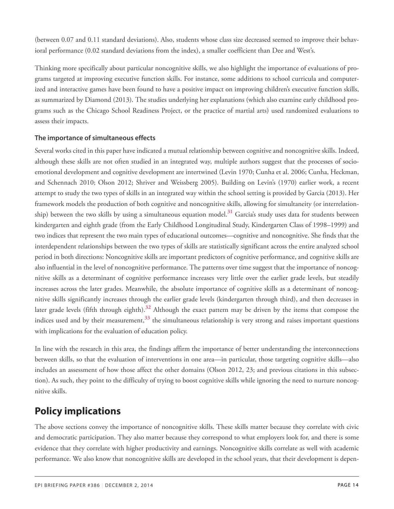(between 0.07 and 0.11 standard deviations). Also, students whose class size decreased seemed to improve their behavioral performance (0.02 standard deviations from the index), a smaller coefficient than Dee and West's.

Thinking more specifically about particular noncognitive skills, we also highlight the importance of evaluations of programs targeted at improving executive function skills. For instance, some additions to school curricula and computerized and interactive games have been found to have a positive impact on improving children's executive function skills, as summarized by Diamond (2013). The studies underlying her explanations (which also examine early childhood programs such as the Chicago School Readiness Project, or the practice of martial arts) used randomized evaluations to assess their impacts.

#### <span id="page-13-0"></span>**The importance of simultaneous effects**

<span id="page-13-2"></span>Several works cited in this paper have indicated a mutual relationship between cognitive and noncognitive skills. Indeed, although these skills are not often studied in an integrated way, multiple authors suggest that the processes of socioemotional development and cognitive development are intertwined (Levin 1970; Cunha et al. 2006; Cunha, Heckman, and Schennach 2010; Olson 2012; Shriver and Weissberg 2005). Building on Levin's (1970) earlier work, a recent attempt to study the two types of skills in an integrated way within the school setting is provided by Garcia (2013). Her framework models the production of both cognitive and noncognitive skills, allowing for simultaneity (or interrelationship) between the two skills by using a simultaneous equation model.**[31](#page-25-6)** Garcia's study uses data for students between kindergarten and eighth grade (from the Early Childhood Longitudinal Study, Kindergarten Class of 1998–1999) and two indices that represent the two main types of educational outcomes—cognitive and noncognitive. She finds that the interdependent relationships between the two types of skills are statistically significant across the entire analyzed school period in both directions: Noncognitive skills are important predictors of cognitive performance, and cognitive skills are also influential in the level of noncognitive performance. The patterns over time suggest that the importance of noncognitive skills as a determinant of cognitive performance increases very little over the earlier grade levels, but steadily increases across the later grades. Meanwhile, the absolute importance of cognitive skills as a determinant of noncognitive skills significantly increases through the earlier grade levels (kindergarten through third), and then decreases in later grade levels (fifth through eighth).**[32](#page-25-7)** Although the exact pattern may be driven by the items that compose the indices used and by their measurement,**[33](#page-25-8)** the simultaneous relationship is very strong and raises important questions with implications for the evaluation of education policy.

<span id="page-13-4"></span><span id="page-13-3"></span>In line with the research in this area, the findings affirm the importance of better understanding the interconnections between skills, so that the evaluation of interventions in one area—in particular, those targeting cognitive skills—also includes an assessment of how those affect the other domains (Olson 2012, 23; and previous citations in this subsection). As such, they point to the difficulty of trying to boost cognitive skills while ignoring the need to nurture noncognitive skills.

## <span id="page-13-1"></span>**Policy implications**

The above sections convey the importance of noncognitive skills. These skills matter because they correlate with civic and democratic participation. They also matter because they correspond to what employers look for, and there is some evidence that they correlate with higher productivity and earnings. Noncognitive skills correlate as well with academic performance. We also know that noncognitive skills are developed in the school years, that their development is depen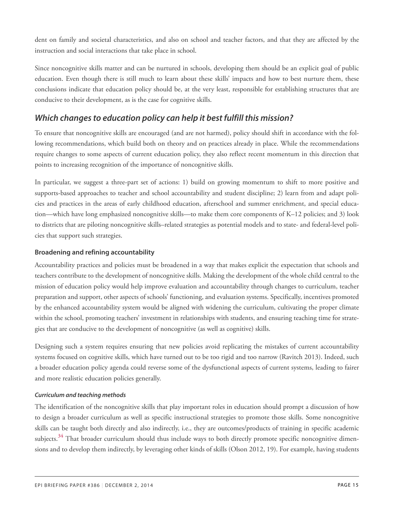dent on family and societal characteristics, and also on school and teacher factors, and that they are affected by the instruction and social interactions that take place in school.

Since noncognitive skills matter and can be nurtured in schools, developing them should be an explicit goal of public education. Even though there is still much to learn about these skills' impacts and how to best nurture them, these conclusions indicate that education policy should be, at the very least, responsible for establishing structures that are conducive to their development, as is the case for cognitive skills.

## <span id="page-14-0"></span>*Which changes to education policy can help it best fulfill this mission?*

To ensure that noncognitive skills are encouraged (and are not harmed), policy should shift in accordance with the following recommendations, which build both on theory and on practices already in place. While the recommendations require changes to some aspects of current education policy, they also reflect recent momentum in this direction that points to increasing recognition of the importance of noncognitive skills.

In particular, we suggest a three-part set of actions: 1) build on growing momentum to shift to more positive and supports-based approaches to teacher and school accountability and student discipline; 2) learn from and adapt policies and practices in the areas of early childhood education, afterschool and summer enrichment, and special education—which have long emphasized noncognitive skills—to make them core components of K–12 policies; and 3) look to districts that are piloting noncognitive skills–related strategies as potential models and to state- and federal-level policies that support such strategies.

## <span id="page-14-1"></span>**Broadening and refining accountability**

Accountability practices and policies must be broadened in a way that makes explicit the expectation that schools and teachers contribute to the development of noncognitive skills. Making the development of the whole child central to the mission of education policy would help improve evaluation and accountability through changes to curriculum, teacher preparation and support, other aspects of schools' functioning, and evaluation systems. Specifically, incentives promoted by the enhanced accountability system would be aligned with widening the curriculum, cultivating the proper climate within the school, promoting teachers' investment in relationships with students, and ensuring teaching time for strategies that are conducive to the development of noncognitive (as well as cognitive) skills.

Designing such a system requires ensuring that new policies avoid replicating the mistakes of current accountability systems focused on cognitive skills, which have turned out to be too rigid and too narrow (Ravitch 2013). Indeed, such a broader education policy agenda could reverse some of the dysfunctional aspects of current systems, leading to fairer and more realistic education policies generally.

## *Curriculum and teaching methods*

<span id="page-14-2"></span>The identification of the noncognitive skills that play important roles in education should prompt a discussion of how to design a broader curriculum as well as specific instructional strategies to promote those skills. Some noncognitive skills can be taught both directly and also indirectly, i.e., they are outcomes/products of training in specific academic subjects.**[34](#page-25-9)** That broader curriculum should thus include ways to both directly promote specific noncognitive dimensions and to develop them indirectly, by leveraging other kinds of skills (Olson 2012, 19). For example, having students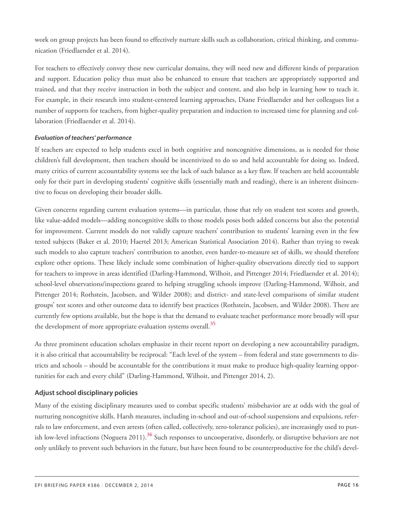work on group projects has been found to effectively nurture skills such as collaboration, critical thinking, and communication (Friedlaender et al. 2014).

For teachers to effectively convey these new curricular domains, they will need new and different kinds of preparation and support. Education policy thus must also be enhanced to ensure that teachers are appropriately supported and trained, and that they receive instruction in both the subject and content, and also help in learning how to teach it. For example, in their research into student-centered learning approaches, Diane Friedlaender and her colleagues list a number of supports for teachers, from higher-quality preparation and induction to increased time for planning and collaboration (Friedlaender et al. 2014).

#### *Evaluation of teachers' performance*

If teachers are expected to help students excel in both cognitive and noncognitive dimensions, as is needed for those children's full development, then teachers should be incentivized to do so and held accountable for doing so. Indeed, many critics of current accountability systems see the lack of such balance as a key flaw. If teachers are held accountable only for their part in developing students' cognitive skills (essentially math and reading), there is an inherent disincentive to focus on developing their broader skills.

Given concerns regarding current evaluation systems—in particular, those that rely on student test scores and growth, like value-added models—adding noncognitive skills to those models poses both added concerns but also the potential for improvement. Current models do not validly capture teachers' contribution to students' learning even in the few tested subjects (Baker et al. 2010; Haertel 2013; American Statistical Association 2014). Rather than trying to tweak such models to also capture teachers' contribution to another, even harder-to-measure set of skills, we should therefore explore other options. These likely include some combination of higher-quality observations directly tied to support for teachers to improve in areas identified (Darling-Hammond, Wilhoit, and Pittenger 2014; Friedlaender et al. 2014); school-level observations/inspections geared to helping struggling schools improve (Darling-Hammond, Wilhoit, and Pittenger 2014; Rothstein, Jacobsen, and Wilder 2008); and district- and state-level comparisons of similar student groups' test scores and other outcome data to identify best practices (Rothstein, Jacobsen, and Wilder 2008). There are currently few options available, but the hope is that the demand to evaluate teacher performance more broadly will spur the development of more appropriate evaluation systems overall.**[35](#page-25-10)**

<span id="page-15-1"></span>As three prominent education scholars emphasize in their recent report on developing a new accountability paradigm, it is also critical that accountability be reciprocal: "Each level of the system – from federal and state governments to districts and schools – should be accountable for the contributions it must make to produce high-quality learning opportunities for each and every child" (Darling-Hammond, Wilhoit, and Pittenger 2014, 2).

## <span id="page-15-0"></span>**Adjust school disciplinary policies**

<span id="page-15-2"></span>Many of the existing disciplinary measures used to combat specific students' misbehavior are at odds with the goal of nurturing noncognitive skills. Harsh measures, including in-school and out-of-school suspensions and expulsions, referrals to law enforcement, and even arrests (often called, collectively, zero-tolerance policies), are increasingly used to punish low-level infractions (Noguera 2011).**[36](#page-26-0)** Such responses to uncooperative, disorderly, or disruptive behaviors are not only unlikely to prevent such behaviors in the future, but have been found to be counterproductive for the child's devel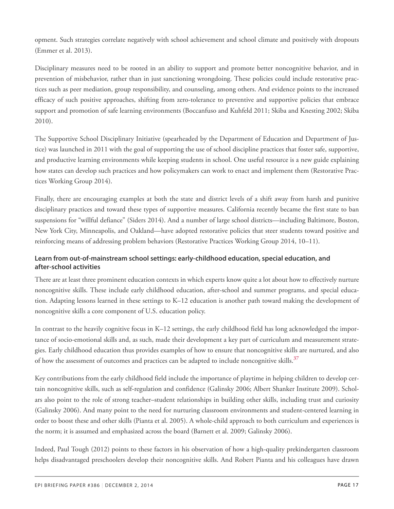opment. Such strategies correlate negatively with school achievement and school climate and positively with dropouts (Emmer et al. 2013).

Disciplinary measures need to be rooted in an ability to support and promote better noncognitive behavior, and in prevention of misbehavior, rather than in just sanctioning wrongdoing. These policies could include restorative practices such as peer mediation, group responsibility, and counseling, among others. And evidence points to the increased efficacy of such positive approaches, shifting from zero-tolerance to preventive and supportive policies that embrace support and promotion of safe learning environments (Boccanfuso and Kuhfeld 2011; Skiba and Knesting 2002; Skiba 2010).

The Supportive School Disciplinary Initiative (spearheaded by the Department of Education and Department of Justice) was launched in 2011 with the goal of supporting the use of school discipline practices that foster safe, supportive, and productive learning environments while keeping students in school. One useful resource is a new guide explaining how states can develop such practices and how policymakers can work to enact and implement them (Restorative Practices Working Group 2014).

Finally, there are encouraging examples at both the state and district levels of a shift away from harsh and punitive disciplinary practices and toward these types of supportive measures. California recently became the first state to ban suspensions for "willful defiance" (Siders 2014). And a number of large school districts—including Baltimore, Boston, New York City, Minneapolis, and Oakland—have adopted restorative policies that steer students toward positive and reinforcing means of addressing problem behaviors (Restorative Practices Working Group 2014, 10–11).

## <span id="page-16-0"></span>**Learn from out-of-mainstream school settings: early-childhood education, special education, and after-school activities**

There are at least three prominent education contexts in which experts know quite a lot about how to effectively nurture noncognitive skills. These include early childhood education, after-school and summer programs, and special education. Adapting lessons learned in these settings to K–12 education is another path toward making the development of noncognitive skills a core component of U.S. education policy.

In contrast to the heavily cognitive focus in K–12 settings, the early childhood field has long acknowledged the importance of socio-emotional skills and, as such, made their development a key part of curriculum and measurement strategies. Early childhood education thus provides examples of how to ensure that noncognitive skills are nurtured, and also of how the assessment of outcomes and practices can be adapted to include noncognitive skills.**[37](#page-26-1)**

<span id="page-16-1"></span>Key contributions from the early childhood field include the importance of playtime in helping children to develop certain noncognitive skills, such as self-regulation and confidence (Galinsky 2006; Albert Shanker Institute 2009). Scholars also point to the role of strong teacher–student relationships in building other skills, including trust and curiosity (Galinsky 2006). And many point to the need for nurturing classroom environments and student-centered learning in order to boost these and other skills (Pianta et al. 2005). A whole-child approach to both curriculum and experiences is the norm; it is assumed and emphasized across the board (Barnett et al. 2009; Galinsky 2006).

Indeed, Paul Tough (2012) points to these factors in his observation of how a high-quality prekindergarten classroom helps disadvantaged preschoolers develop their noncognitive skills. And Robert Pianta and his colleagues have drawn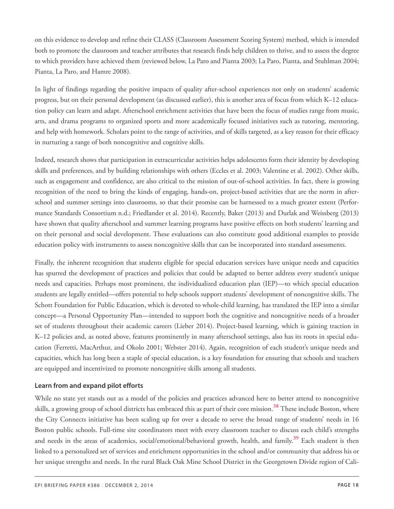on this evidence to develop and refine their CLASS (Classroom Assessment Scoring System) method, which is intended both to promote the classroom and teacher attributes that research finds help children to thrive, and to assess the degree to which providers have achieved them (reviewed below, La Paro and Pianta 2003; La Paro, Pianta, and Stuhlman 2004; Pianta, La Paro, and Hamre 2008).

In light of findings regarding the positive impacts of quality after-school experiences not only on students' academic progress, but on their personal development (as discussed earlier), this is another area of focus from which K–12 education policy can learn and adapt. Afterschool enrichment activities that have been the focus of studies range from music, arts, and drama programs to organized sports and more academically focused initiatives such as tutoring, mentoring, and help with homework. Scholars point to the range of activities, and of skills targeted, as a key reason for their efficacy in nurturing a range of both noncognitive and cognitive skills.

Indeed, research shows that participation in extracurricular activities helps adolescents form their identity by developing skills and preferences, and by building relationships with others (Eccles et al. 2003; Valentine et al. 2002). Other skills, such as engagement and confidence, are also critical to the mission of out-of-school activities. In fact, there is growing recognition of the need to bring the kinds of engaging, hands-on, project-based activities that are the norm in afterschool and summer settings into classrooms, so that their promise can be harnessed to a much greater extent (Performance Standards Consortium n.d.; Friedlander et al. 2014). Recently, Baker (2013) and Durlak and Weissberg (2013) have shown that quality afterschool and summer learning programs have positive effects on both students' learning and on their personal and social development. These evaluations can also constitute good additional examples to provide education policy with instruments to assess noncognitive skills that can be incorporated into standard assessments.

Finally, the inherent recognition that students eligible for special education services have unique needs and capacities has spurred the development of practices and policies that could be adapted to better address every student's unique needs and capacities. Perhaps most prominent, the individualized education plan (IEP)—to which special education students are legally entitled—offers potential to help schools support students' development of noncognitive skills. The Schott Foundation for Public Education, which is devoted to whole-child learning, has translated the IEP into a similar concept—a Personal Opportunity Plan—intended to support both the cognitive and noncognitive needs of a broader set of students throughout their academic careers (Lieber 2014). Project-based learning, which is gaining traction in K–12 policies and, as noted above, features prominently in many afterschool settings, also has its roots in special education (Ferretti, MacArthur, and Okolo 2001; Webster 2014). Again, recognition of each student's unique needs and capacities, which has long been a staple of special education, is a key foundation for ensuring that schools and teachers are equipped and incentivized to promote noncognitive skills among all students.

## <span id="page-17-0"></span>**Learn from and expand pilot efforts**

<span id="page-17-2"></span><span id="page-17-1"></span>While no state yet stands out as a model of the policies and practices advanced here to better attend to noncognitive skills, a growing group of school districts has embraced this as part of their core mission.**[38](#page-26-2)** These include Boston, where the City Connects initiative has been scaling up for over a decade to serve the broad range of students' needs in 16 Boston public schools. Full-time site coordinators meet with every classroom teacher to discuss each child's strengths and needs in the areas of academics, social/emotional/behavioral growth, health, and family. **[39](#page-26-3)** Each student is then linked to a personalized set of services and enrichment opportunities in the school and/or community that address his or her unique strengths and needs. In the rural Black Oak Mine School District in the Georgetown Divide region of Cali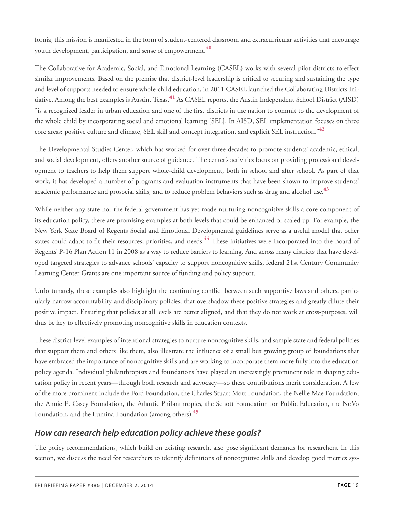<span id="page-18-1"></span>fornia, this mission is manifested in the form of student-centered classroom and extracurricular activities that encourage youth development, participation, and sense of empowerment.**[40](#page-26-4)**

<span id="page-18-2"></span>The Collaborative for Academic, Social, and Emotional Learning (CASEL) works with several pilot districts to effect similar improvements. Based on the premise that district-level leadership is critical to securing and sustaining the type and level of supports needed to ensure whole-child education, in 2011 CASEL launched the Collaborating Districts Initiative. Among the best examples is Austin, Texas. **[41](#page-26-5)** As CASEL reports, the Austin Independent School District (AISD) "is a recognized leader in urban education and one of the first districts in the nation to commit to the development of the whole child by incorporating social and emotional learning [SEL]. In AISD, SEL implementation focuses on three core areas: positive culture and climate, SEL skill and concept integration, and explicit SEL instruction." **[42](#page-26-6)**

<span id="page-18-3"></span>The Developmental Studies Center, which has worked for over three decades to promote students' academic, ethical, and social development, offers another source of guidance. The center's activities focus on providing professional development to teachers to help them support whole-child development, both in school and after school. As part of that work, it has developed a number of programs and evaluation instruments that have been shown to improve students' academic performance and prosocial skills, and to reduce problem behaviors such as drug and alcohol use.**[43](#page-26-7)**

<span id="page-18-5"></span><span id="page-18-4"></span>While neither any state nor the federal government has yet made nurturing noncognitive skills a core component of its education policy, there are promising examples at both levels that could be enhanced or scaled up. For example, the New York State Board of Regents Social and Emotional Developmental guidelines serve as a useful model that other states could adapt to fit their resources, priorities, and needs.**[44](#page-26-8)** These initiatives were incorporated into the Board of Regents' P-16 Plan Action 11 in 2008 as a way to reduce barriers to learning. And across many districts that have developed targeted strategies to advance schools' capacity to support noncognitive skills, federal 21st Century Community Learning Center Grants are one important source of funding and policy support.

Unfortunately, these examples also highlight the continuing conflict between such supportive laws and others, particularly narrow accountability and disciplinary policies, that overshadow these positive strategies and greatly dilute their positive impact. Ensuring that policies at all levels are better aligned, and that they do not work at cross-purposes, will thus be key to effectively promoting noncognitive skills in education contexts.

These district-level examples of intentional strategies to nurture noncognitive skills, and sample state and federal policies that support them and others like them, also illustrate the influence of a small but growing group of foundations that have embraced the importance of noncognitive skills and are working to incorporate them more fully into the education policy agenda. Individual philanthropists and foundations have played an increasingly prominent role in shaping education policy in recent years—through both research and advocacy—so these contributions merit consideration. A few of the more prominent include the Ford Foundation, the Charles Stuart Mott Foundation, the Nellie Mae Foundation, the Annie E. Casey Foundation, the Atlantic Philanthropies, the Schott Foundation for Public Education, the NoVo Foundation, and the Lumina Foundation (among others).**[45](#page-26-9)**

## <span id="page-18-6"></span><span id="page-18-0"></span>*How can research help education policy achieve these goals?*

The policy recommendations, which build on existing research, also pose significant demands for researchers. In this section, we discuss the need for researchers to identify definitions of noncognitive skills and develop good metrics sys-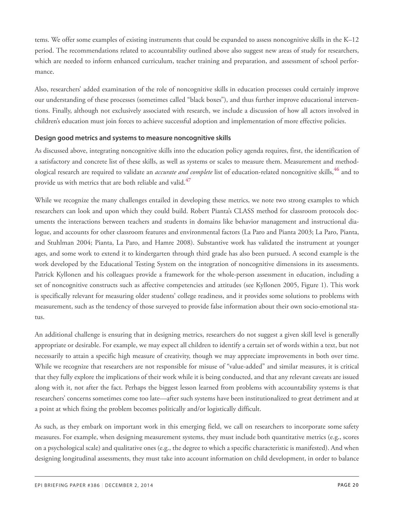tems. We offer some examples of existing instruments that could be expanded to assess noncognitive skills in the K–12 period. The recommendations related to accountability outlined above also suggest new areas of study for researchers, which are needed to inform enhanced curriculum, teacher training and preparation, and assessment of school performance.

Also, researchers' added examination of the role of noncognitive skills in education processes could certainly improve our understanding of these processes (sometimes called "black boxes"), and thus further improve educational interventions. Finally, although not exclusively associated with research, we include a discussion of how all actors involved in children's education must join forces to achieve successful adoption and implementation of more effective policies.

#### <span id="page-19-0"></span>**Design good metrics and systems to measure noncognitive skills**

<span id="page-19-1"></span>As discussed above, integrating noncognitive skills into the education policy agenda requires, first, the identification of a satisfactory and concrete list of these skills, as well as systems or scales to measure them. Measurement and methodological research are required to validate an *accurate and complete* list of education-related noncognitive skills,**[46](#page-26-10)** and to provide us with metrics that are both reliable and valid.**[47](#page-26-11)**

<span id="page-19-2"></span>While we recognize the many challenges entailed in developing these metrics, we note two strong examples to which researchers can look and upon which they could build. Robert Pianta's CLASS method for classroom protocols documents the interactions between teachers and students in domains like behavior management and instructional dialogue, and accounts for other classroom features and environmental factors (La Paro and Pianta 2003; La Paro, Pianta, and Stuhlman 2004; Pianta, La Paro, and Hamre 2008). Substantive work has validated the instrument at younger ages, and some work to extend it to kindergarten through third grade has also been pursued. A second example is the work developed by the Educational Testing System on the integration of noncognitive dimensions in its assessments. Patrick Kyllonen and his colleagues provide a framework for the whole-person assessment in education, including a set of noncognitive constructs such as affective competencies and attitudes (see Kyllonen 2005, Figure 1). This work is specifically relevant for measuring older students' college readiness, and it provides some solutions to problems with measurement, such as the tendency of those surveyed to provide false information about their own socio-emotional status.

An additional challenge is ensuring that in designing metrics, researchers do not suggest a given skill level is generally appropriate or desirable. For example, we may expect all children to identify a certain set of words within a text, but not necessarily to attain a specific high measure of creativity, though we may appreciate improvements in both over time. While we recognize that researchers are not responsible for misuse of "value-added" and similar measures, it is critical that they fully explore the implications of their work while it is being conducted, and that any relevant caveats are issued along with it, not after the fact. Perhaps the biggest lesson learned from problems with accountability systems is that researchers' concerns sometimes come too late—after such systems have been institutionalized to great detriment and at a point at which fixing the problem becomes politically and/or logistically difficult.

As such, as they embark on important work in this emerging field, we call on researchers to incorporate some safety measures. For example, when designing measurement systems, they must include both quantitative metrics (e.g., scores on a psychological scale) and qualitative ones (e.g., the degree to which a specific characteristic is manifested). And when designing longitudinal assessments, they must take into account information on child development, in order to balance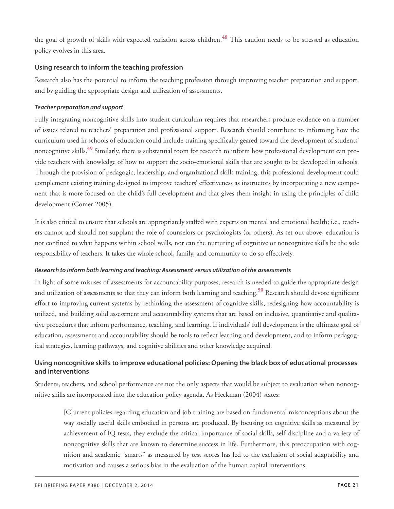<span id="page-20-2"></span>the goal of growth of skills with expected variation across children. **[48](#page-26-12)** This caution needs to be stressed as education policy evolves in this area.

## <span id="page-20-0"></span>**Using research to inform the teaching profession**

Research also has the potential to inform the teaching profession through improving teacher preparation and support, and by guiding the appropriate design and utilization of assessments.

#### *Teacher preparation and support*

<span id="page-20-3"></span>Fully integrating noncognitive skills into student curriculum requires that researchers produce evidence on a number of issues related to teachers' preparation and professional support. Research should contribute to informing how the curriculum used in schools of education could include training specifically geared toward the development of students' noncognitive skills.**[49](#page-26-13)** Similarly, there is substantial room for research to inform how professional development can provide teachers with knowledge of how to support the socio-emotional skills that are sought to be developed in schools. Through the provision of pedagogic, leadership, and organizational skills training, this professional development could complement existing training designed to improve teachers' effectiveness as instructors by incorporating a new component that is more focused on the child's full development and that gives them insight in using the principles of child development (Comer 2005).

It is also critical to ensure that schools are appropriately staffed with experts on mental and emotional health; i.e., teachers cannot and should not supplant the role of counselors or psychologists (or others). As set out above, education is not confined to what happens within school walls, nor can the nurturing of cognitive or noncognitive skills be the sole responsibility of teachers. It takes the whole school, family, and community to do so effectively.

#### *Research to inform both learning and teaching: Assessment versus utilization of the assessments*

<span id="page-20-4"></span>In light of some misuses of assessments for accountability purposes, research is needed to guide the appropriate design and utilization of assessments so that they can inform both learning and teaching.**[50](#page-27-1)** Research should devote significant effort to improving current systems by rethinking the assessment of cognitive skills, redesigning how accountability is utilized, and building solid assessment and accountability systems that are based on inclusive, quantitative and qualitative procedures that inform performance, teaching, and learning. If individuals' full development is the ultimate goal of education, assessments and accountability should be tools to reflect learning and development, and to inform pedagogical strategies, learning pathways, and cognitive abilities and other knowledge acquired.

## <span id="page-20-1"></span>**Using noncognitive skills to improve educational policies: Opening the black box of educational processes and interventions**

Students, teachers, and school performance are not the only aspects that would be subject to evaluation when noncognitive skills are incorporated into the education policy agenda. As Heckman (2004) states:

[C]urrent policies regarding education and job training are based on fundamental misconceptions about the way socially useful skills embodied in persons are produced. By focusing on cognitive skills as measured by achievement of IQ tests, they exclude the critical importance of social skills, self-discipline and a variety of noncognitive skills that are known to determine success in life. Furthermore, this preoccupation with cognition and academic "smarts" as measured by test scores has led to the exclusion of social adaptability and motivation and causes a serious bias in the evaluation of the human capital interventions.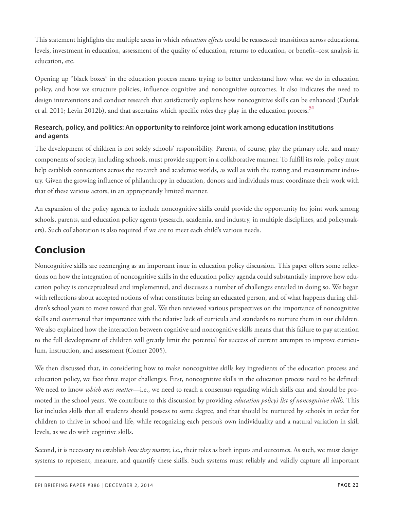This statement highlights the multiple areas in which *education effects* could be reassessed: transitions across educational levels, investment in education, assessment of the quality of education, returns to education, or benefit–cost analysis in education, etc.

Opening up "black boxes" in the education process means trying to better understand how what we do in education policy, and how we structure policies, influence cognitive and noncognitive outcomes. It also indicates the need to design interventions and conduct research that satisfactorily explains how noncognitive skills can be enhanced (Durlak et al. 2011; Levin 2012b), and that ascertains which specific roles they play in the education process. **[51](#page-27-2)**

## <span id="page-21-2"></span><span id="page-21-0"></span>**Research, policy, and politics: An opportunity to reinforce joint work among education institutions and agents**

The development of children is not solely schools' responsibility. Parents, of course, play the primary role, and many components of society, including schools, must provide support in a collaborative manner. To fulfill its role, policy must help establish connections across the research and academic worlds, as well as with the testing and measurement industry. Given the growing influence of philanthropy in education, donors and individuals must coordinate their work with that of these various actors, in an appropriately limited manner.

An expansion of the policy agenda to include noncognitive skills could provide the opportunity for joint work among schools, parents, and education policy agents (research, academia, and industry, in multiple disciplines, and policymakers). Such collaboration is also required if we are to meet each child's various needs.

# <span id="page-21-1"></span>**Conclusion**

Noncognitive skills are reemerging as an important issue in education policy discussion. This paper offers some reflections on how the integration of noncognitive skills in the education policy agenda could substantially improve how education policy is conceptualized and implemented, and discusses a number of challenges entailed in doing so. We began with reflections about accepted notions of what constitutes being an educated person, and of what happens during children's school years to move toward that goal. We then reviewed various perspectives on the importance of noncognitive skills and contrasted that importance with the relative lack of curricula and standards to nurture them in our children. We also explained how the interaction between cognitive and noncognitive skills means that this failure to pay attention to the full development of children will greatly limit the potential for success of current attempts to improve curriculum, instruction, and assessment (Comer 2005).

We then discussed that, in considering how to make noncognitive skills key ingredients of the education process and education policy, we face three major challenges. First, noncognitive skills in the education process need to be defined: We need to know *which ones matter—*i.e., we need to reach a consensus regarding which skills can and should be promoted in the school years. We contribute to this discussion by providing *education policy's list of noncognitive skills.* This list includes skills that all students should possess to some degree, and that should be nurtured by schools in order for children to thrive in school and life, while recognizing each person's own individuality and a natural variation in skill levels, as we do with cognitive skills.

Second, it is necessary to establish *how they matter*, i.e., their roles as both inputs and outcomes. As such, we must design systems to represent, measure, and quantify these skills. Such systems must reliably and validly capture all important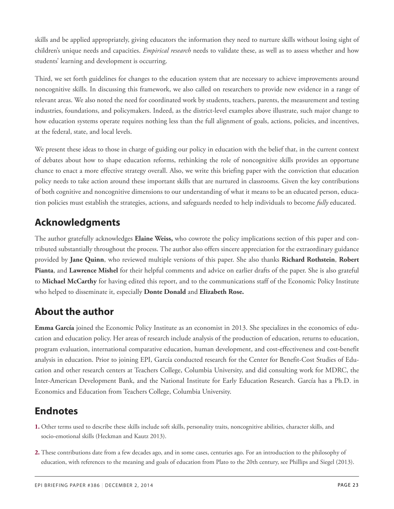skills and be applied appropriately, giving educators the information they need to nurture skills without losing sight of children's unique needs and capacities. *Empirical research* needs to validate these, as well as to assess whether and how students' learning and development is occurring.

Third, we set forth guidelines for changes to the education system that are necessary to achieve improvements around noncognitive skills. In discussing this framework, we also called on researchers to provide new evidence in a range of relevant areas. We also noted the need for coordinated work by students, teachers, parents, the measurement and testing industries, foundations, and policymakers. Indeed, as the district-level examples above illustrate, such major change to how education systems operate requires nothing less than the full alignment of goals, actions, policies, and incentives, at the federal, state, and local levels.

We present these ideas to those in charge of guiding our policy in education with the belief that, in the current context of debates about how to shape education reforms, rethinking the role of noncognitive skills provides an opportune chance to enact a more effective strategy overall. Also, we write this briefing paper with the conviction that education policy needs to take action around these important skills that are nurtured in classrooms. Given the key contributions of both cognitive and noncognitive dimensions to our understanding of what it means to be an educated person, education policies must establish the strategies, actions, and safeguards needed to help individuals to become *fully* educated.

# <span id="page-22-0"></span>**Acknowledgments**

The author gratefully acknowledges **Elaine Weiss,** who cowrote the policy implications section of this paper and contributed substantially throughout the process. The author also offers sincere appreciation for the extraordinary guidance provided by **Jane Quinn**, who reviewed multiple versions of this paper. She also thanks **Richard Rothstein**, **Robert Pianta**, and **Lawrence Mishel** for their helpful comments and advice on earlier drafts of the paper. She is also grateful to **Michael McCarthy** for having edited this report, and to the communications staff of the Economic Policy Institute who helped to disseminate it, especially **Donte Donald** and **Elizabeth Rose.**

# <span id="page-22-1"></span>**About the author**

**Emma García** joined the Economic Policy Institute as an economist in 2013. She specializes in the economics of education and education policy. Her areas of research include analysis of the production of education, returns to education, program evaluation, international comparative education, human development, and cost-effectiveness and cost-benefit analysis in education. Prior to joining EPI, García conducted research for the Center for Benefit-Cost Studies of Education and other research centers at Teachers College, Columbia University, and did consulting work for MDRC, the Inter-American Development Bank, and the National Institute for Early Education Research. García has a Ph.D. in Economics and Education from Teachers College, Columbia University.

# <span id="page-22-2"></span>**Endnotes**

- <span id="page-22-3"></span>**[1.](#page-2-1)** Other terms used to describe these skills include soft skills, personality traits, noncognitive abilities, character skills, and socio-emotional skills (Heckman and Kautz 2013).
- <span id="page-22-4"></span>**[2.](#page-4-1)** These contributions date from a few decades ago, and in some cases, centuries ago. For an introduction to the philosophy of education, with references to the meaning and goals of education from Plato to the 20th century, see Phillips and Siegel (2013).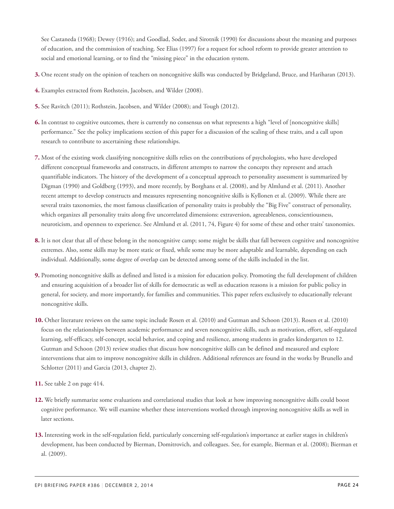See Castaneda (1968); Dewey (1916); and Goodlad, Soder, and Sirotnik (1990) for discussions about the meaning and purposes of education, and the commission of teaching. See Elias (1997) for a request for school reform to provide greater attention to social and emotional learning, or to find the "missing piece" in the education system.

- <span id="page-23-0"></span>**[3.](#page-4-2)** One recent study on the opinion of teachers on noncognitive skills was conducted by Bridgeland, Bruce, and Hariharan (2013).
- <span id="page-23-1"></span>**[4.](#page-4-3)** Examples extracted from Rothstein, Jacobsen, and Wilder (2008).
- <span id="page-23-2"></span>**[5.](#page-5-4)** See Ravitch (2011); Rothstein, Jacobsen, and Wilder (2008); and Tough (2012).
- <span id="page-23-3"></span>**[6.](#page-5-5)** In contrast to cognitive outcomes, there is currently no consensus on what represents a high "level of [noncognitive skills] performance." See the policy implications section of this paper for a discussion of the scaling of these traits, and a call upon research to contribute to ascertaining these relationships.
- <span id="page-23-4"></span>**[7.](#page-5-6)** Most of the existing work classifying noncognitive skills relies on the contributions of psychologists, who have developed different conceptual frameworks and constructs, in different attempts to narrow the concepts they represent and attach quantifiable indicators. The history of the development of a conceptual approach to personality assessment is summarized by Digman (1990) and Goldberg (1993), and more recently, by Borghans et al. (2008), and by Almlund et al. (2011). Another recent attempt to develop constructs and measures representing noncognitive skills is Kyllonen et al. (2009). While there are several traits taxonomies, the most famous classification of personality traits is probably the "Big Five" construct of personality, which organizes all personality traits along five uncorrelated dimensions: extraversion, agreeableness, conscientiousness, neuroticism, and openness to experience. See Almlund et al. (2011, 74, Figure 4) for some of these and other traits' taxonomies.
- <span id="page-23-5"></span>**[8.](#page-6-3)** It is not clear that all of these belong in the noncognitive camp; some might be skills that fall between cognitive and noncognitive extremes. Also, some skills may be more static or fixed, while some may be more adaptable and learnable, depending on each individual. Additionally, some degree of overlap can be detected among some of the skills included in the list.
- <span id="page-23-6"></span>**[9.](#page-6-4)** Promoting noncognitive skills as defined and listed is a mission for education policy. Promoting the full development of children and ensuring acquisition of a broader list of skills for democratic as well as education reasons is a mission for public policy in general, for society, and more importantly, for families and communities. This paper refers exclusively to educationally relevant noncognitive skills.
- <span id="page-23-7"></span>**[10.](#page-7-0)** Other literature reviews on the same topic include Rosen et al. (2010) and Gutman and Schoon (2013). Rosen et al. (2010) focus on the relationships between academic performance and seven noncognitive skills, such as motivation, effort, self-regulated learning, self-efficacy, self-concept, social behavior, and coping and resilience, among students in grades kindergarten to 12. Gutman and Schoon (2013) review studies that discuss how noncognitive skills can be defined and measured and explore interventions that aim to improve noncognitive skills in children. Additional references are found in the works by Brunello and Schlotter (2011) and Garcia (2013, chapter 2).
- <span id="page-23-8"></span>**[11.](#page-7-1)** See table 2 on page 414.
- <span id="page-23-9"></span>**[12.](#page-8-0)** We briefly summarize some evaluations and correlational studies that look at how improving noncognitive skills could boost cognitive performance. We will examine whether these interventions worked through improving noncognitive skills as well in later sections.
- <span id="page-23-10"></span>**[13.](#page-8-1)** Interesting work in the self-regulation field, particularly concerning self-regulation's importance at earlier stages in children's development, has been conducted by Bierman, Domitrovich, and colleagues. See, for example, Bierman et al. (2008); Bierman et al. (2009).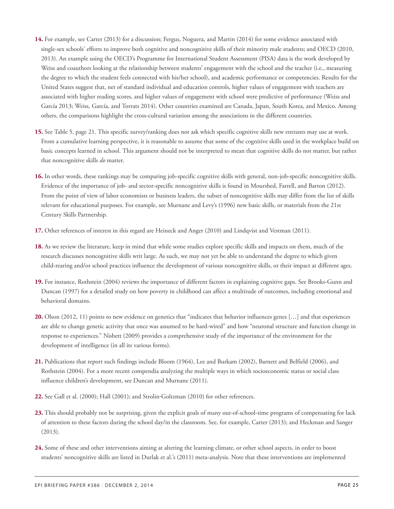- <span id="page-24-0"></span>**[14.](#page-8-2)** For example, see Carter (2013) for a discussion; Fergus, Noguera, and Martin (2014) for some evidence associated with single-sex schools' efforts to improve both cognitive and noncognitive skills of their minority male students; and OECD (2010, 2013). An example using the OECD's Programme for International Student Assessment (PISA) data is the work developed by Weiss and coauthors looking at the relationship between students' engagement with the school and the teacher (i.e., measuring the degree to which the student feels connected with his/her school), and academic performance or competencies. Results for the United States suggest that, net of standard individual and education controls, higher values of engagement with teachers are associated with higher reading scores, and higher values of engagement with school were predictive of performance (Weiss and García 2013; Weiss, García, and Torrats 2014). Other countries examined are Canada, Japan, South Korea, and Mexico. Among others, the comparisons highlight the cross-cultural variation among the associations in the different countries.
- <span id="page-24-1"></span>**[15.](#page-9-2)** See Table 5, page 21. This specific survey/ranking does not ask which specific cognitive skills new entrants may use at work. From a cumulative learning perspective, it is reasonable to assume that some of the cognitive skills used in the workplace build on basic concepts learned in school. This argument should not be interpreted to mean that cognitive skills do not matter, but rather that noncognitive skills *do* matter.
- <span id="page-24-2"></span>**[16.](#page-9-3)** In other words, these rankings may be comparing job-specific cognitive skills with general, non-job-specific noncognitive skills. Evidence of the importance of job- and sector-specific noncognitive skills is found in Mourshed, Farrell, and Barton (2012). From the point of view of labor economists or business leaders, the subset of noncognitive skills may differ from the list of skills relevant for educational purposes. For example, see Murnane and Levy's (1996) new basic skills, or materials from the 21st Century Skills Partnership.
- <span id="page-24-3"></span>**[17.](#page-9-4)** Other references of interest in this regard are Heineck and Anger (2010) and Lindqvist and Vestman (2011).
- <span id="page-24-4"></span>**[18.](#page-9-5)** As we review the literature, keep in mind that while some studies explore specific skills and impacts on them, much of the research discusses noncognitive skills writ large. As such, we may not yet be able to understand the degree to which given child-rearing and/or school practices influence the development of various noncognitive skills, or their impact at different ages.
- <span id="page-24-5"></span>**[19.](#page-10-1)** For instance, Rothstein (2004) reviews the importance of different factors in explaining cognitive gaps. See Brooks-Gunn and Duncan (1997) for a detailed study on how poverty in childhood can affect a multitude of outcomes, including emotional and behavioral domains.
- <span id="page-24-6"></span>**[20.](#page-10-2)** Olson (2012, 11) points to new evidence on genetics that "indicates that behavior influences genes […] and that experiences are able to change genetic activity that once was assumed to be hard-wired" and how "neuronal structure and function change in response to experiences." Nisbett (2009) provides a comprehensive study of the importance of the environment for the development of intelligence (in all its various forms).
- <span id="page-24-7"></span>**[21.](#page-10-3)** Publications that report such findings include Bloom (1964), Lee and Burkam (2002), Barnett and Belfield (2006), and Rothstein (2004). For a more recent compendia analyzing the multiple ways in which socioeconomic status or social class influence children's development, see Duncan and Murnane (2011).
- <span id="page-24-8"></span>**[22.](#page-11-0)** See Gall et al. (2000); Hall (2001); and Strolin‐Goltzman (2010) for other references.
- <span id="page-24-9"></span>**[23.](#page-11-1)** This should probably not be surprising, given the explicit goals of many out-of-school-time programs of compensating for lack of attention to these factors during the school day/in the classroom. See, for example, Carter (2013); and Heckman and Sanger (2013).
- <span id="page-24-10"></span>**[24.](#page-11-1)** Some of these and other interventions aiming at altering the learning climate, or other school aspects, in order to boost students' noncognitive skills are listed in Durlak et al.'s (2011) meta-analysis. Note that these interventions are implemented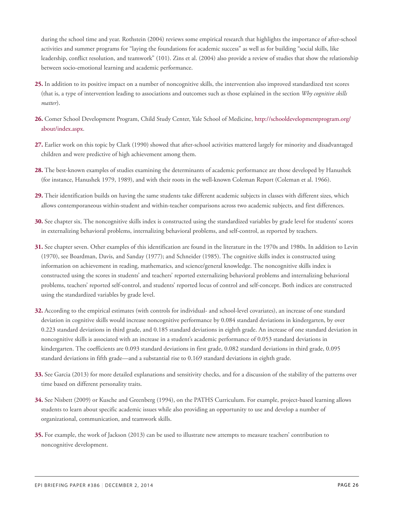during the school time and year. Rothstein (2004) reviews some empirical research that highlights the importance of after-school activities and summer programs for "laying the foundations for academic success" as well as for building "social skills, like leadership, conflict resolution, and teamwork" (101). Zins et al. (2004) also provide a review of studies that show the relationship between socio-emotional learning and academic performance.

- <span id="page-25-0"></span>**[25.](#page-11-2)** In addition to its positive impact on a number of noncognitive skills, the intervention also improved standardized test scores (that is, a type of intervention leading to associations and outcomes such as those explained in the section *Why cognitive skills matter*).
- <span id="page-25-1"></span>**[26.](#page-12-1)** Comer School Development Program, Child Study Center, Yale School of Medicine, [http://schooldevelopmentprogram.org/](http://schooldevelopmentprogram.org/about/index.aspx) [about/index.aspx.](http://schooldevelopmentprogram.org/about/index.aspx)
- <span id="page-25-2"></span>**[27.](#page-12-2)** Earlier work on this topic by Clark (1990) showed that after-school activities mattered largely for minority and disadvantaged children and were predictive of high achievement among them.
- <span id="page-25-3"></span>**[28.](#page-12-3)** The best-known examples of studies examining the determinants of academic performance are those developed by Hanushek (for instance, Hanushek 1979, 1989), and with their roots in the well-known Coleman Report (Coleman et al. 1966).
- <span id="page-25-4"></span>**[29.](#page-12-4)** Their identification builds on having the same students take different academic subjects in classes with different sizes, which allows contemporaneous within-student and within-teacher comparisons across two academic subjects, and first differences.
- <span id="page-25-5"></span>**[30.](#page-12-5)** See chapter six. The noncognitive skills index is constructed using the standardized variables by grade level for students' scores in externalizing behavioral problems, internalizing behavioral problems, and self-control, as reported by teachers.
- <span id="page-25-6"></span>**[31.](#page-13-2)** See chapter seven. Other examples of this identification are found in the literature in the 1970s and 1980s. In addition to Levin (1970), see Boardman, Davis, and Sanday (1977); and Schneider (1985). The cognitive skills index is constructed using information on achievement in reading, mathematics, and science/general knowledge. The noncognitive skills index is constructed using the scores in students' and teachers' reported externalizing behavioral problems and internalizing behavioral problems, teachers' reported self-control, and students' reported locus of control and self-concept. Both indices are constructed using the standardized variables by grade level.
- <span id="page-25-7"></span>**[32.](#page-13-3)** According to the empirical estimates (with controls for individual- and school-level covariates), an increase of one standard deviation in cognitive skills would increase noncognitive performance by 0.084 standard deviations in kindergarten, by over 0.223 standard deviations in third grade, and 0.185 standard deviations in eighth grade. An increase of one standard deviation in noncognitive skills is associated with an increase in a student's academic performance of 0.053 standard deviations in kindergarten. The coefficients are 0.093 standard deviations in first grade, 0.082 standard deviations in third grade, 0.095 standard deviations in fifth grade—and a substantial rise to 0.169 standard deviations in eighth grade.
- <span id="page-25-8"></span>**[33.](#page-13-4)** See Garcia (2013) for more detailed explanations and sensitivity checks, and for a discussion of the stability of the patterns over time based on different personality traits.
- <span id="page-25-9"></span>**[34.](#page-14-2)** See Nisbett (2009) or Kusche and Greenberg (1994), on the PATHS Curriculum. For example, project-based learning allows students to learn about specific academic issues while also providing an opportunity to use and develop a number of organizational, communication, and teamwork skills.
- <span id="page-25-10"></span>**[35.](#page-15-1)** For example, the work of Jackson (2013) can be used to illustrate new attempts to measure teachers' contribution to noncognitive development.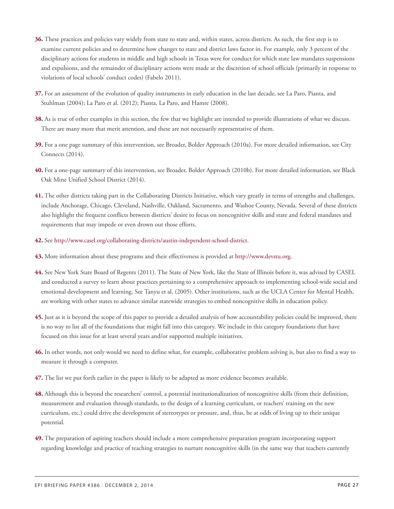- <span id="page-26-0"></span>**[36.](#page-15-2)** These practices and policies vary widely from state to state and, within states, across districts. As such, the first step is to examine current policies and to determine how changes to state and district laws factor in. For example, only 3 percent of the disciplinary actions for students in middle and high schools in Texas were for conduct for which state law mandates suspensions and expulsions, and the remainder of disciplinary actions were made at the discretion of school officials (primarily in response to violations of local schools' conduct codes) (Fabelo 2011).
- <span id="page-26-1"></span>**[37.](#page-16-1)** For an assessment of the evolution of quality instruments in early education in the last decade, see La Paro, Pianta, and Stuhlman (2004); La Paro et al. (2012); Pianta, La Paro, and Hamre (2008).
- <span id="page-26-2"></span>**[38.](#page-17-1)** As is true of other examples in this section, the few that we highlight are intended to provide illustrations of what we discuss. There are many more that merit attention, and these are not necessarily representative of them.
- <span id="page-26-3"></span>**[39.](#page-17-2)** For a one page summary of this intervention, see Broader, Bolder Approach (2010a). For more detailed information, see City Connects (2014).
- <span id="page-26-4"></span>**[40.](#page-18-1)** For a one-page summary of this intervention, see Broader, Bolder Approach (2010b). For more detailed information, see Black Oak Mine Unified School District (2014).
- <span id="page-26-5"></span>**[41.](#page-18-2)** The other districts taking part in the Collaborating Districts Initiative, which vary greatly in terms of strengths and challenges, include Anchorage, Chicago, Cleveland, Nashville, Oakland, Sacramento, and Washoe County, Nevada. Several of these districts also highlight the frequent conflicts between districts' desire to focus on noncognitive skills and state and federal mandates and requirements that may impede or even drown out those efforts.
- <span id="page-26-6"></span>**[42.](#page-18-3)** See <http://www.casel.org/collaborating-districts/austin-independent-school-district>.
- <span id="page-26-7"></span>**[43.](#page-18-4)** More information about these programs and their effectiveness is provided at <http://www.devstu.org>.
- <span id="page-26-8"></span>**[44.](#page-18-5)** See New York State Board of Regents (2011). The State of New York, like the State of Illinois before it, was advised by CASEL and conducted a survey to learn about practices pertaining to a comprehensive approach to implementing school-wide social and emotional development and learning. See Tanyu et al. (2005). Other institutions, such as the UCLA Center for Mental Health, are working with other states to advance similar statewide strategies to embed noncognitive skills in education policy.
- <span id="page-26-9"></span>**[45.](#page-18-6)** Just as it is beyond the scope of this paper to provide a detailed analysis of how accountability policies could be improved, there is no way to list all of the foundations that might fall into this category. We include in this category foundations that have focused on this issue for at least several years and/or supported multiple initiatives.
- <span id="page-26-10"></span>**[46.](#page-19-1)** In other words, not only would we need to define what, for example, collaborative problem solving is, but also to find a way to measure it through a computer.
- <span id="page-26-11"></span>**[47.](#page-19-2)** The list we put forth earlier in the paper is likely to be adapted as more evidence becomes available.
- <span id="page-26-12"></span>**[48.](#page-20-2)** Although this is beyond the researchers' control, a potential institutionalization of noncognitive skills (from their definition, measurement and evaluation through standards, to the design of a learning curriculum, or teachers' training on the new curriculum, etc.) could drive the development of stereotypes or pressure, and, thus, be at odds of living up to their unique potential.
- <span id="page-26-13"></span>**[49.](#page-20-3)** The preparation of aspiring teachers should include a more comprehensive preparation program incorporating support regarding knowledge and practice of teaching strategies to nurture noncognitive skills (in the same way that teachers currently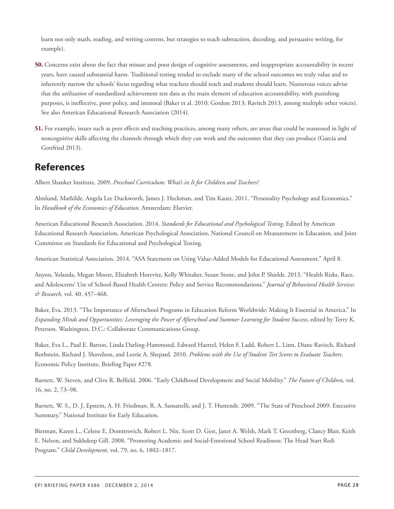learn not only math, reading, and writing content, but strategies to teach subtraction, decoding, and persuasive writing, for example).

- <span id="page-27-1"></span>**[50.](#page-20-4)** Concerns exist about the fact that misuse and poor design of cognitive assessments, and inappropriate accountability in recent years, have caused substantial harm. Traditional testing tended to exclude many of the school outcomes we truly value and to inherently narrow the schools' focus regarding what teachers should teach and students should learn. Numerous voices advise that the *utilization* of standardized achievement test data as the main element of education accountability, with punishing purposes, is ineffective, poor policy, and immoral (Baker et al. 2010; Gordon 2013; Ravitch 2013, among multiple other voices). See also American Educational Research Association (2014).
- <span id="page-27-2"></span>**[51.](#page-21-2)** For example, issues such as peer effects and teaching practices, among many others, are areas that could be reassessed in light of noncognitive skills affecting the channels through which they can work and the outcomes that they can produce (García and Gottfried 2013).

## <span id="page-27-0"></span>**References**

Albert Shanker Institute. 2009. *Preschool Curriculum: What's in It for Children and Teachers?*

Almlund, Mathilde, Angela Lee Duckworth, James J. Heckman, and Tim Kautz. 2011. "Personality Psychology and Economics." In *Handbook of the Economics of Education.* Amsterdam: Elsevier.

American Educational Research Association. 2014. *Standards for Educational and Psychological Testing*. Edited by American Educational Research Association, American Psychological Association, National Council on Measurement in Education, and Joint Committee on Standards for Educational and Psychological Testing.

American Statistical Association. 2014. "ASA Statement on Using Value-Added Models for Educational Assessment." April 8.

Anyon, Yolanda, Megan Moore, Elizabeth Horevitz, Kelly Whitaker, Susan Stone, and John P. Shields. 2013. "Health Risks, Race, and Adolescents' Use of School-Based Health Centers: Policy and Service Recommendations." *Journal of Behavioral Health Services & Research,* vol. 40, 457–468.

Baker, Eva. 2013. "The Importance of Afterschool Programs in Education Reform Worldwide: Making It Essential in America." In *Expanding Minds and Opportunities: Leveraging the Power of Afterschool and Summer Learning for Student Success*, edited by Terry K. Peterson. Washington, D.C.: Collaborate Communications Group.

Baker, Eva L., Paul E. Barton, Linda Darling-Hammond, Edward Haertel, Helen F. Ladd, Robert L. Linn, Diane Ravitch*,* Richard Rothstein, Richard J. Shavelson, and Lorrie A. Shepard*.* 2010. *Problems with the Use of Student Test Scores to Evaluate Teachers*. Economic Policy Institute, Briefing Paper #278.

Barnett, W. Steven, and Clive R. Belfield. 2006. "Early Childhood Development and Social Mobility." *The Future of Children,* vol. 16, no. 2, 73–98.

Barnett, W. S., D. J. Epstein, A. H. Friedman, R. A. Sansanelli, and J. T. Hustendt. 2009. "The State of Preschool 2009: Executive Summary." National Institute for Early Education.

Bierman, Karen L., Celene E. Domitrovich, Robert L. Nix, Scott D. Gest, Janet A. Welsh, Mark T. Greenberg, Clancy Blair, Keith E. Nelson, and Sukhdeep Gill. 2008. "Promoting Academic and Social‐Emotional School Readiness: The Head Start Redi Program." *Child Development,* vol. 79, no. 6, 1802–1817.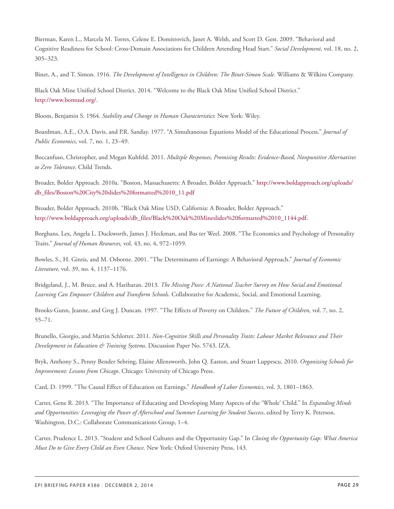Bierman, Karen L., Marcela M. Torres, Celene E. Domitrovich, Janet A. Welsh, and Scott D. Gest. 2009. "Behavioral and Cognitive Readiness for School: Cross‐Domain Associations for Children Attending Head Start." *Social Development,* vol. 18, no. 2, 305–323.

Binet, A., and T. Simon. 1916. *The Development of Intelligence in Children: The Binet-Simon Scale*. Williams & Wilkins Company.

Black Oak Mine Unified School District. 2014. "Welcome to the Black Oak Mine Unified School District." [http://www.bomusd.org/.](http://www.bomusd.org/)

Bloom, Benjamin S. 1964. *Stability and Change in Human Characteristics*: New York: Wiley.

Boardman, A.E., O.A. Davis, and P.R. Sanday. 1977. "A Simultaneous Equations Model of the Educational Process." *Journal of Public Economics,* vol. 7, no. 1, 23–49.

Boccanfuso, Christopher, and Megan Kuhfeld. 2011. *Multiple Responses, Promising Results: Evidence-Based, Nonpunitive Alternatives to Zero Tolerance*. Child Trends.

Broader, Bolder Approach. 2010a. "Boston, Massachusetts: A Broader, Bolder Approach." [http://www.boldapproach.org/uploads/](http://www.boldapproach.org/uploads/db_files/Boston%20City%20slides%20formatted%2010_11.pdf) [db\\_files/Boston%20City%20slides%20formatted%2010\\_11.pdf](http://www.boldapproach.org/uploads/db_files/Boston%20City%20slides%20formatted%2010_11.pdf)

Broader, Bolder Approach. 2010b. "Black Oak Mine USD, California: A Broader, Bolder Approach." [http://www.boldapproach.org/uploads/db\\_files/Black%20Oak%20Mineslides%20formatted%2010\\_1144.pdf](http://www.boldapproach.org/uploads/db_files/Black%20Oak%20Mineslides%20formatted%2010_1144.pdf).

Borghans, Lex, Angela L. Duckworth, James J. Heckman, and Bas ter Weel. 2008. "The Economics and Psychology of Personality Traits." *Journal of Human Resources,* vol. 43, no. 4, 972–1059.

Bowles, S., H. Gintis, and M. Osborne. 2001. "The Determinants of Earnings: A Behavioral Approach." *Journal of Economic Literature,* vol. 39, no. 4, 1137–1176.

Bridgeland, J., M. Bruce, and A. Hariharan. 2013. *The Missing Piece: A National Teacher Survey on How Social and Emotional Learning Can Empower Children and Transform Schools*. Collaborative for Academic, Social, and Emotional Learning.

Brooks-Gunn, Jeanne, and Greg J. Duncan. 1997. "The Effects of Poverty on Children." *The Future of Children*, vol. 7, no. 2, 55–71.

Brunello, Giorgio, and Martin Schlotter. 2011. *Non-Cognitive Skills and Personality Traits: Labour Market Relevance and Their Development in Education & Training Systems*. Discussion Paper No. 5743. IZA.

Bryk, Anthony S., Penny Bender Sebring, Elaine Allensworth, John Q. Easton, and Stuart Luppescu. 2010. *Organizing Schools for Improvement: Lessons from Chicago*. Chicago: University of Chicago Press.

Card, D. 1999. "The Causal Effect of Education on Earnings." *Handbook of Labor Economics*, vol. 3, 1801–1863.

Carter, Gene R. 2013. "The Importance of Educating and Developing Many Aspects of the 'Whole' Child." In *Expanding Minds and Opportunities: Leveraging the Power of Afterschool and Summer Learning for Student Success*, edited by Terry K. Peterson. Washington, D.C.: Collaborate Communications Group, 1–4.

Carter, Prudence L. 2013. "Student and School Cultures and the Opportunity Gap." In *Closing the Opportunity Gap: What America Must Do to Give Every Child an Even Chance.* New York: Oxford University Press, 143.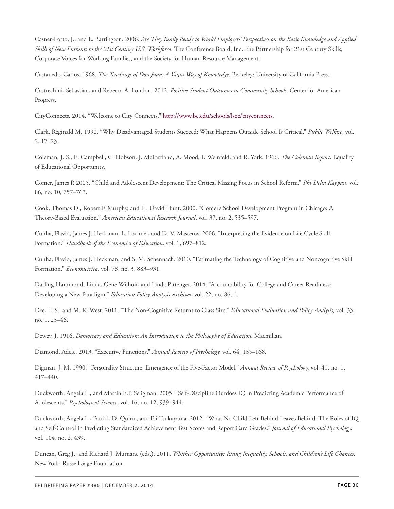Casner-Lotto, J., and L. Barrington. 2006. *Are They Really Ready to Work? Employers' Perspectives on the Basic Knowledge and Applied Skills of New Entrants to the 21st Century U.S. Workforce*. The Conference Board, Inc., the Partnership for 21st Century Skills, Corporate Voices for Working Families, and the Society for Human Resource Management.

Castaneda, Carlos. 1968. *The Teachings of Don Juan: A Yaqui Way of Knowledge*. Berkeley: University of California Press.

Castrechini, Sebastian, and Rebecca A. London. 2012. *Positive Student Outcomes in Community Schools*. Center for American Progress.

CityConnects. 2014. "Welcome to City Connects." [http://www.bc.edu/schools/lsoe/cityconnects.](http://www.bc.edu/schools/lsoe/cityconnects)

Clark, Reginald M. 1990. "Why Disadvantaged Students Succeed: What Happens Outside School Is Critical." *Public Welfare*, vol. 2, 17–23.

Coleman, J. S., E. Campbell, C. Hobson, J. McPartland, A. Mood, F. Weinfeld, and R. York. 1966. *The Coleman Report*. Equality of Educational Opportunity.

Comer, James P. 2005. "Child and Adolescent Development: The Critical Missing Focus in School Reform." *Phi Delta Kappan,* vol. 86, no. 10, 757–763.

Cook, Thomas D., Robert F. Murphy, and H. David Hunt. 2000. "Comer's School Development Program in Chicago: A Theory-Based Evaluation." *American Educational Research Journal*, vol. 37, no. 2, 535–597.

Cunha, Flavio, James J. Heckman, L. Lochner, and D. V. Masterov. 2006. "Interpreting the Evidence on Life Cycle Skill Formation." *Handbook of the Economics of Education,* vol. 1, 697–812.

Cunha, Flavio, James J. Heckman, and S. M. Schennach. 2010. "Estimating the Technology of Cognitive and Noncognitive Skill Formation." *Econometrica,* vol. 78, no. 3, 883–931.

Darling-Hammond, Linda, Gene Wilhoit, and Linda Pittenger. 2014. "Accountability for College and Career Readiness: Developing a New Paradigm." *Education Policy Analysis Archives,* vol. 22, no. 86, 1.

Dee, T. S., and M. R. West. 2011. "The Non-Cognitive Returns to Class Size." *Educational Evaluation and Policy Analysis,* vol. 33, no. 1, 23–46.

Dewey, J. 1916. *Democracy and Education: An Introduction to the Philosophy of Education*. Macmillan.

Diamond, Adele. 2013. "Executive Functions." *Annual Review of Psychology,* vol. 64, 135–168.

Digman, J. M. 1990. "Personality Structure: Emergence of the Five-Factor Model." *Annual Review of Psychology,* vol. 41, no. 1, 417–440.

Duckworth, Angela L., and Martin E.P. Seligman. 2005. "Self-Discipline Outdoes IQ in Predicting Academic Performance of Adolescents." *Psychological Science*, vol. 16, no. 12, 939–944.

Duckworth, Angela L., Patrick D. Quinn, and Eli Tsukayama. 2012. "What No Child Left Behind Leaves Behind: The Roles of IQ and Self-Control in Predicting Standardized Achievement Test Scores and Report Card Grades." *Journal of Educational Psychology,* vol. 104, no. 2, 439.

Duncan, Greg J., and Richard J. Murnane (eds.). 2011. *Whither Opportunity? Rising Inequality, Schools, and Children's Life Chances.* New York: Russell Sage Foundation.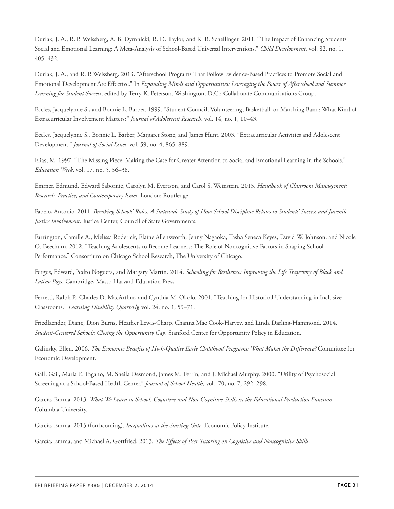Durlak, J. A., R. P. Weissberg, A. B. Dymnicki, R. D. Taylor, and K. B. Schellinger. 2011. "The Impact of Enhancing Students' Social and Emotional Learning: A Meta-Analysis of School-Based Universal Interventions." *Child Development,* vol. 82, no. 1, 405–432.

Durlak, J. A., and R. P. Weissberg. 2013. "Afterschool Programs That Follow Evidence-Based Practices to Promote Social and Emotional Development Are Effective." In *Expanding Minds and Opportunities: Leveraging the Power of Afterschool and Summer Learning for Student Success*, edited by Terry K. Peterson. Washington, D.C.: Collaborate Communications Group.

Eccles, Jacquelynne S., and Bonnie L. Barber. 1999. "Student Council, Volunteering, Basketball, or Marching Band: What Kind of Extracurricular Involvement Matters?" *Journal of Adolescent Research,* vol. 14, no. 1, 10–43.

Eccles, Jacquelynne S., Bonnie L. Barber, Margaret Stone, and James Hunt. 2003. "Extracurricular Activities and Adolescent Development." *Journal of Social Issues,* vol. 59, no. 4, 865–889.

Elias, M. 1997. "The Missing Piece: Making the Case for Greater Attention to Social and Emotional Learning in the Schools." *Education Week,* vol. 17, no. 5, 36–38.

Emmer, Edmund, Edward Sabornie, Carolyn M. Evertson, and Carol S. Weinstein. 2013. *Handbook of Classroom Management: Research, Practice, and Contemporary Issues*. London: Routledge.

Fabelo, Antonio. 2011. *Breaking Schools' Rules: A Statewide Study of How School Discipline Relates to Students' Success and Juvenile Justice Involvement*. Justice Center, Council of State Governments.

Farrington, Camille A., Melissa Roderick, Elaine Allensworth, Jenny Nagaoka, Tasha Seneca Keyes, David W. Johnson, and Nicole O. Beechum. 2012. "Teaching Adolescents to Become Learners: The Role of Noncognitive Factors in Shaping School Performance." Consortium on Chicago School Research, The University of Chicago.

Fergus, Edward, Pedro Noguera, and Margary Martin. 2014. *Schooling for Resilience: Improving the Life Trajectory of Black and Latino Boys*. Cambridge, Mass.: Harvard Education Press.

Ferretti, Ralph P., Charles D. MacArthur, and Cynthia M. Okolo. 2001. "Teaching for Historical Understanding in Inclusive Classrooms." *Learning Disability Quarterly,* vol. 24, no. 1, 59–71.

Friedlaender, Diane, Dion Burns, Heather Lewis-Charp, Channa Mae Cook-Harvey, and Linda Darling-Hammond. 2014. *Student-Centered Schools: Closing the Opportunity Gap*. Stanford Center for Opportunity Policy in Education.

Galinsky, Ellen. 2006. *The Economic Benefits of High-Quality Early Childhood Programs: What Makes the Difference?* Committee for Economic Development.

Gall, Gail, Maria E. Pagano, M. Sheila Desmond, James M. Perrin, and J. Michael Murphy. 2000. "Utility of Psychosocial Screening at a School‐Based Health Center." *Journal of School Health,* vol. 70, no. 7, 292–298.

García, Emma. 2013. *What We Learn in School: Cognitive and Non-Cognitive Skills in the Educational Production Function*. Columbia University.

García, Emma. 2015 (forthcoming). *Inequalities at the Starting Gate*. Economic Policy Institute.

García, Emma, and Michael A. Gottfried. 2013. *The Effects of Peer Tutoring on Cognitive and Noncognitive Skills*.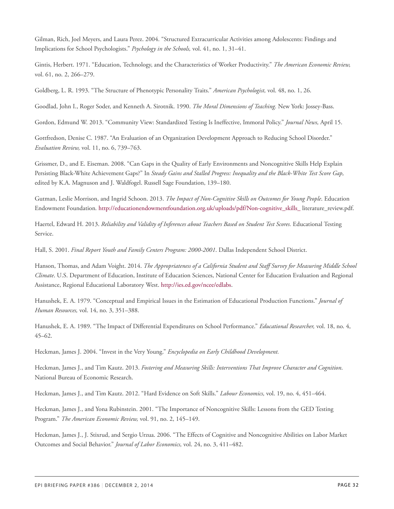Gilman, Rich, Joel Meyers, and Laura Perez. 2004. "Structured Extracurricular Activities among Adolescents: Findings and Implications for School Psychologists." *Psychology in the Schools,* vol. 41, no. 1, 31–41.

Gintis, Herbert. 1971. "Education, Technology, and the Characteristics of Worker Productivity." *The American Economic Review,* vol. 61, no. 2, 266–279.

Goldberg, L. R. 1993. "The Structure of Phenotypic Personality Traits." *American Psychologist,* vol. 48, no. 1, 26.

Goodlad, John I., Roger Soder, and Kenneth A. Sirotnik. 1990. *The Moral Dimensions of Teaching.* New York: Jossey-Bass.

Gordon, Edmund W. 2013. "Community View: Standardized Testing Is Ineffective, Immoral Policy." *Journal News,* April 15.

Gottfredson, Denise C. 1987. "An Evaluation of an Organization Development Approach to Reducing School Disorder." *Evaluation Review,* vol. 11, no. 6, 739–763.

Grissmer, D., and E. Eiseman. 2008. "Can Gaps in the Quality of Early Environments and Noncognitive Skills Help Explain Persisting Black-White Achievement Gaps?" In *Steady Gains and Stalled Progress: Inequality and the Black-White Test Score Gap,* edited by K.A. Magnuson and J. Waldfogel. Russell Sage Foundation, 139–180.

Gutman, Leslie Morrison, and Ingrid Schoon. 2013. *The Impact of Non-Cognitive Skills on Outcomes for Young People*. Education Endowment Foundation*.* [http://educationendowmentfoundation.org.uk/uploads/pdf/Non-cognitive\\_skills\\_](http://educationendowmentfoundation.org.uk/uploads/pdf/Non-cognitive_skills_) literature\_review.pdf.

Haertel, Edward H. 2013. *Reliability and Validity of Inferences about Teachers Based on Student Test Scores.* Educational Testing Service.

Hall, S. 2001. *Final Report Youth and Family Centers Program: 2000-2001*. Dallas Independent School District.

Hanson, Thomas, and Adam Voight. 2014. *The Appropriateness of a California Student and Staff Survey for Measuring Middle School Climate*. U.S. Department of Education, Institute of Education Sciences, National Center for Education Evaluation and Regional Assistance, Regional Educational Laboratory West. <http://ies.ed.gov/ncee/edlabs>.

Hanushek, E. A. 1979. "Conceptual and Empirical Issues in the Estimation of Educational Production Functions." *Journal of Human Resources,* vol. 14, no. 3, 351–388.

Hanushek, E. A. 1989. "The Impact of Differential Expenditures on School Performance." *Educational Researcher,* vol. 18, no. 4, 45–62.

Heckman, James J. 2004. "Invest in the Very Young." *Encyclopedia on Early Childhood Development.*

Heckman, James J., and Tim Kautz. 2013. *Fostering and Measuring Skills: Interventions That Improve Character and Cognition*. National Bureau of Economic Research.

Heckman, James J., and Tim Kautz. 2012. "Hard Evidence on Soft Skills." *Labour Economics,* vol. 19, no. 4, 451–464.

Heckman, James J., and Yona Rubinstein. 2001. "The Importance of Noncognitive Skills: Lessons from the GED Testing Program." *The American Economic Review,* vol. 91, no. 2, 145–149.

Heckman, James J., J. Stixrud, and Sergio Urzua. 2006. "The Effects of Cognitive and Noncognitive Abilities on Labor Market Outcomes and Social Behavior." *Journal of Labor Economics,* vol. 24, no. 3, 411–482.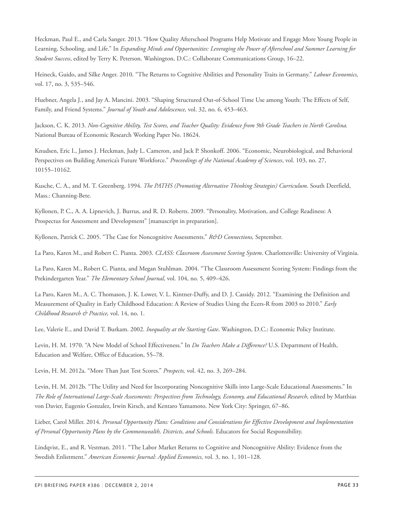Heckman, Paul E., and Carla Sanger. 2013. "How Quality Afterschool Programs Help Motivate and Engage More Young People in Learning, Schooling, and Life." In *Expanding Minds and Opportunities: Leveraging the Power of Afterschool and Summer Learning for Student Success*, edited by Terry K. Peterson. Washington, D.C.: Collaborate Communications Group, 16–22.

Heineck, Guido, and Silke Anger. 2010. "The Returns to Cognitive Abilities and Personality Traits in Germany." *Labour Economics,* vol. 17, no. 3, 535–546.

Huebner, Angela J., and Jay A. Mancini. 2003. "Shaping Structured Out-of-School Time Use among Youth: The Effects of Self, Family, and Friend Systems." *Journal of Youth and Adolescence,* vol. 32, no. 6, 453–463.

Jackson, C. K. 2013. *Non-Cognitive Ability, Test Scores, and Teacher Quality: Evidence from 9th Grade Teachers in North Carolina.* National Bureau of Economic Research Working Paper No. 18624.

Knudsen, Eric I., James J. Heckman, Judy L. Cameron, and Jack P. Shonkoff. 2006. "Economic, Neurobiological, and Behavioral Perspectives on Building America's Future Workforce." *Proceedings of the National Academy of Sciences*, vol. 103, no. 27, 10155–10162.

Kusche, C. A., and M. T. Greenberg. 1994. *The PATHS (Promoting Alternative Thinking Strategies) Curriculum*. South Deerfield, Mass.: Channing-Bete.

Kyllonen, P. C., A. A. Lipnevich, J. Burrus, and R. D. Roberts. 2009. "Personality, Motivation, and College Readiness: A Prospectus for Assessment and Development" [manuscript in preparation].

Kyllonen, Patrick C. 2005. "The Case for Noncognitive Assessments." *R&D Connections*, September.

La Paro, Karen M., and Robert C. Pianta. 2003. *CLASS: Classroom Assessment Scoring System*. Charlottesville: University of Virginia.

La Paro, Karen M., Robert C. Pianta, and Megan Stuhlman. 2004. "The Classroom Assessment Scoring System: Findings from the Prekindergarten Year." *The Elementary School Journal,* vol. 104, no. 5, 409–426.

La Paro, Karen M., A. C. Thomason, J. K. Lower, V. L. Kintner-Duffy, and D. J. Cassidy. 2012. "Examining the Definition and Measurement of Quality in Early Childhood Education: A Review of Studies Using the Ecers-R from 2003 to 2010." *Early Childhood Research & Practice,* vol. 14, no. 1.

Lee, Valerie E., and David T. Burkam. 2002. *Inequality at the Starting Gate*. Washington, D.C.: Economic Policy Institute.

Levin, H. M. 1970. "A New Model of School Effectiveness." In *Do Teachers Make a Difference?* U.S. Department of Health, Education and Welfare, Office of Education, 55–78.

Levin, H. M. 2012a. "More Than Just Test Scores." *Prospects,* vol. 42, no. 3, 269–284.

Levin, H. M. 2012b. "The Utility and Need for Incorporating Noncognitive Skills into Large-Scale Educational Assessments." In *The Role of International Large-Scale Assessments: Perspectives from Technology, Economy, and Educational Research,* edited by Matthias von Davier, Eugenio Gonzalez, Irwin Kirsch, and Kentaro Yamamoto. New York City: Springer, 67–86.

Lieber, Carol Miller. 2014. *Personal Opportunity Plans: Conditions and Considerations for Effective Development and Implementation of Personal Opportunity Plans by the Commonwealth, Districts, and Schools.* Educators for Social Responsibility.

Lindqvist, E., and R. Vestman. 2011. "The Labor Market Returns to Cognitive and Noncognitive Ability: Evidence from the Swedish Enlistment." *American Economic Journal: Applied Economics,* vol. 3, no. 1, 101–128.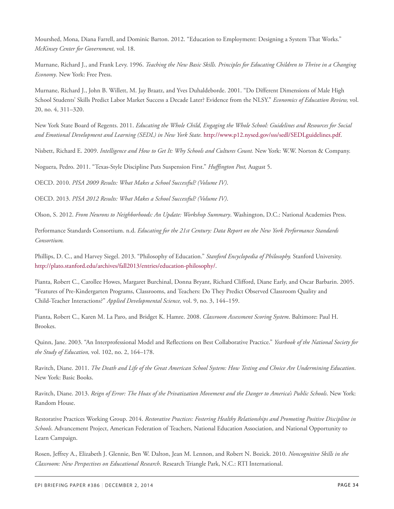Mourshed, Mona, Diana Farrell, and Dominic Barton. 2012. "Education to Employment: Designing a System That Works." *McKinsey Center for Government,* vol. 18.

Murnane, Richard J., and Frank Levy. 1996. *Teaching the New Basic Skills. Principles for Educating Children to Thrive in a Changing Economy*. New York: Free Press.

Murnane, Richard J., John B. Willett, M. Jay Braatz, and Yves Duhaldeborde. 2001. "Do Different Dimensions of Male High School Students' Skills Predict Labor Market Success a Decade Later? Evidence from the NLSY." *Economics of Education Review,* vol. 20, no. 4, 311–320.

New York State Board of Regents. 2011. *Educating the Whole Child, Engaging the Whole School: Guidelines and Resources for Social and Emotional Development and Learning (SEDL) in New York State.* <http://www.p12.nysed.gov/sss/sedl/SEDLguidelines.pdf>.

Nisbett, Richard E. 2009. *Intelligence and How to Get It: Why Schools and Cultures Count.* New York: W.W. Norton & Company.

Noguera, Pedro. 2011. "Texas-Style Discipline Puts Suspension First." *Huffington Post,* August 5.

OECD. 2010. *PISA 2009 Results: What Makes a School Successful? (Volume IV)*.

OECD. 2013. *PISA 2012 Results: What Makes a School Successful? (Volume IV)*.

Olson, S. 2012. *From Neurons to Neighborhoods: An Update: Workshop Summary*. Washington, D.C.: National Academies Press.

Performance Standards Consortium. n.d. *Educating for the 21st Century: Data Report on the New York Performance Standards Consortium.*

Phillips, D. C., and Harvey Siegel. 2013. "Philosophy of Education." *Stanford Encyclopedia of Philosophy.* Stanford University. [http://plato.stanford.edu/archives/fall2013/entries/education-philosophy/.](http://plato.stanford.edu/archives/fall2013/entries/education-philosophy/)

Pianta, Robert C., Carollee Howes, Margaret Burchinal, Donna Bryant, Richard Clifford, Diane Early, and Oscar Barbarin. 2005. "Features of Pre-Kindergarten Programs, Classrooms, and Teachers: Do They Predict Observed Classroom Quality and Child-Teacher Interactions?" *Applied Developmental Science,* vol. 9, no. 3, 144–159.

Pianta, Robert C., Karen M. La Paro, and Bridget K. Hamre. 2008. *Classroom Assessment Scoring System*. Baltimore: Paul H. Brookes.

Quinn, Jane. 2003. "An Interprofessional Model and Reflections on Best Collaborative Practice." *Yearbook of the National Society for the Study of Education,* vol. 102, no. 2, 164–178.

Ravitch, Diane. 2011. *The Death and Life of the Great American School System: How Testing and Choice Are Undermining Education*. New York: Basic Books.

Ravitch, Diane. 2013. *Reign of Error: The Hoax of the Privatization Movement and the Danger to America's Public Schools*. New York: Random House.

Restorative Practices Working Group. 2014. *Restorative Practices: Fostering Healthy Relationships and Promoting Positive Discipline in Schools.* Advancement Project, American Federation of Teachers, National Education Association, and National Opportunity to Learn Campaign.

Rosen, Jeffrey A., Elizabeth J. Glennie, Ben W. Dalton, Jean M. Lennon, and Robert N. Bozick. 2010. *Noncognitive Skills in the Classroom: New Perspectives on Educational Research*. Research Triangle Park, N.C.: RTI International.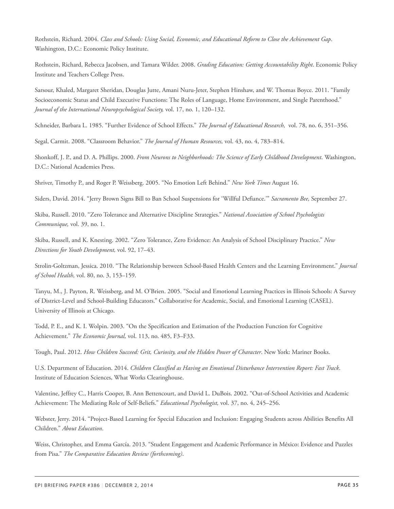Rothstein, Richard. 2004. *Class and Schools: Using Social, Economic, and Educational Reform to Close the Achievement Gap*. Washington, D.C.: Economic Policy Institute.

Rothstein, Richard, Rebecca Jacobsen, and Tamara Wilder. 2008. *Grading Education: Getting Accountability Right*. Economic Policy Institute and Teachers College Press.

Sarsour, Khaled, Margaret Sheridan, Douglas Jutte, Amani Nuru-Jeter, Stephen Hinshaw, and W. Thomas Boyce. 2011. "Family Socioeconomic Status and Child Executive Functions: The Roles of Language, Home Environment, and Single Parenthood." *Journal of the International Neuropsychological Society,* vol. 17, no. 1, 120–132.

Schneider, Barbara L. 1985. "Further Evidence of School Effects." *The Journal of Educational Research,* vol. 78, no. 6, 351–356.

Segal, Carmit. 2008. "Classroom Behavior." *The Journal of Human Resources,* vol. 43, no. 4, 783–814.

Shonkoff, J. P., and D. A. Phillips. 2000. *From Neurons to Neighborhoods: The Science of Early Childhood Development*. Washington, D.C.: National Academies Press.

Shriver, Timothy P., and Roger P. Weissberg. 2005. "No Emotion Left Behind." *New York Times* August 16.

Siders, David. 2014. "Jerry Brown Signs Bill to Ban School Suspensions for 'Willful Defiance.'" *Sacramento Bee,* September 27.

Skiba, Russell. 2010. "Zero Tolerance and Alternative Discipline Strategies." *National Association of School Psychologists Communique,* vol. 39, no. 1.

Skiba, Russell, and K. Knesting. 2002. "Zero Tolerance, Zero Evidence: An Analysis of School Disciplinary Practice." *New Directions for Youth Development,* vol. 92, 17–43.

Strolin‐Goltzman, Jessica. 2010. "The Relationship between School‐Based Health Centers and the Learning Environment." *Journal of School Health,* vol. 80, no. 3, 153–159.

Tanyu, M., J. Payton, R. Weissberg, and M. O'Brien. 2005. "Social and Emotional Learning Practices in Illinois Schools: A Survey of District-Level and School-Building Educators." Collaborative for Academic, Social, and Emotional Learning (CASEL). University of Illinois at Chicago.

Todd, P. E., and K. I. Wolpin. 2003. "On the Specification and Estimation of the Production Function for Cognitive Achievement." *The Economic Journal,* vol. 113, no. 485, F3–F33.

Tough, Paul. 2012. *How Children Succeed: Grit, Curiosity, and the Hidden Power of Character*. New York: Mariner Books.

U.S. Department of Education. 2014. *Children Classified as Having an Emotional Disturbance Intervention Report: Fast Track*. Institute of Education Sciences, What Works Clearinghouse.

Valentine, Jeffrey C., Harris Cooper, B. Ann Bettencourt, and David L. DuBois. 2002. "Out-of-School Activities and Academic Achievement: The Mediating Role of Self-Beliefs." *Educational Psychologist,* vol. 37, no. 4, 245–256.

Webster, Jerry. 2014. "Project-Based Learning for Special Education and Inclusion: Engaging Students across Abilities Benefits All Children." *About Education*.

Weiss, Christopher, and Emma García. 2013. "Student Engagement and Academic Performance in México: Evidence and Puzzles from Pisa." *The Comparative Education Review (forthcoming)*.